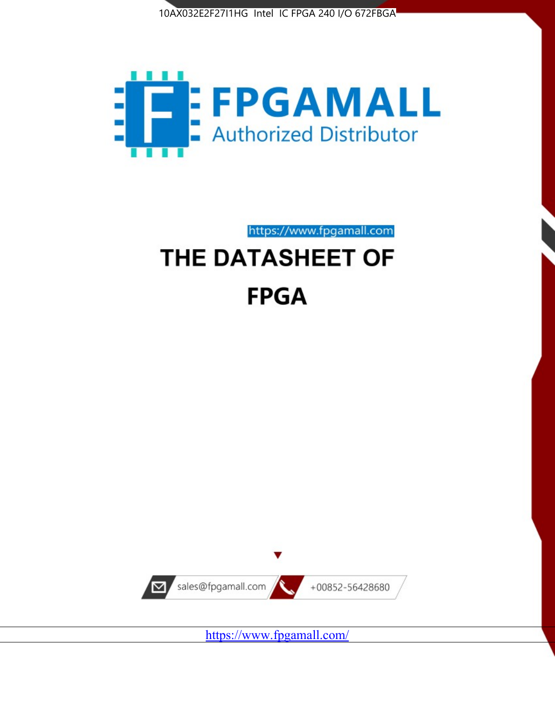



# https://www.fpgamall.com THE DATASHEET OF

# **FPGA**



<https://www.fpgamall.com/>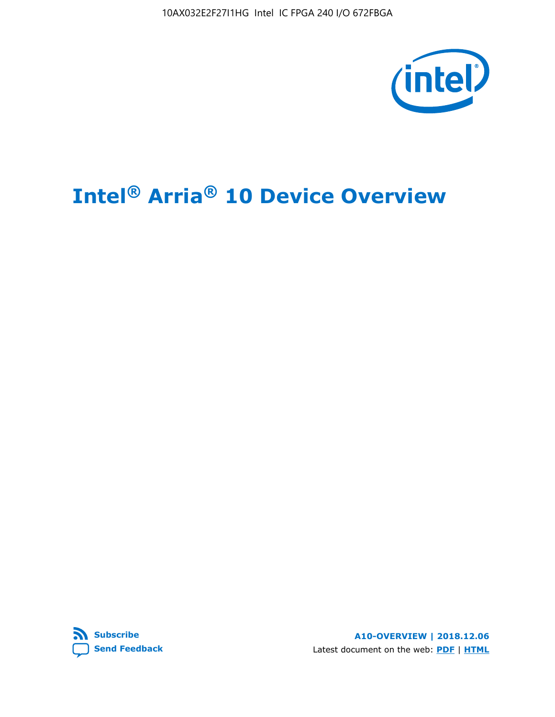10AX032E2F27I1HG Intel IC FPGA 240 I/O 672FBGA



# **Intel® Arria® 10 Device Overview**



**A10-OVERVIEW | 2018.12.06** Latest document on the web: **[PDF](https://www.intel.com/content/dam/www/programmable/us/en/pdfs/literature/hb/arria-10/a10_overview.pdf)** | **[HTML](https://www.intel.com/content/www/us/en/programmable/documentation/sam1403480274650.html)**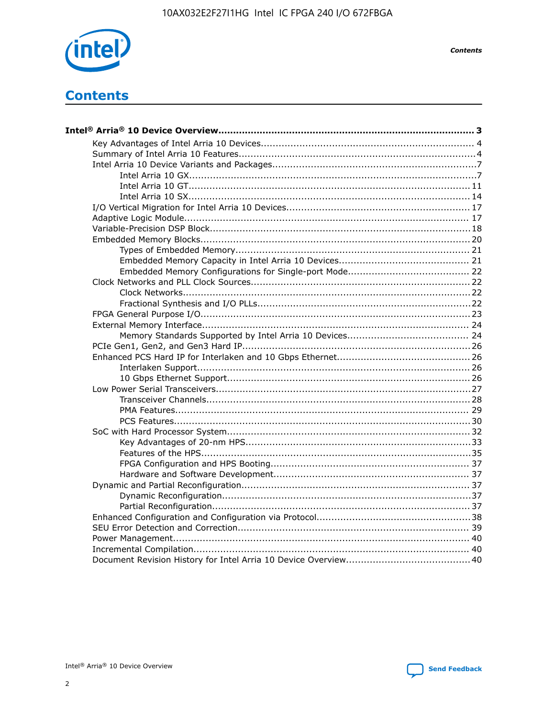

**Contents** 

# **Contents**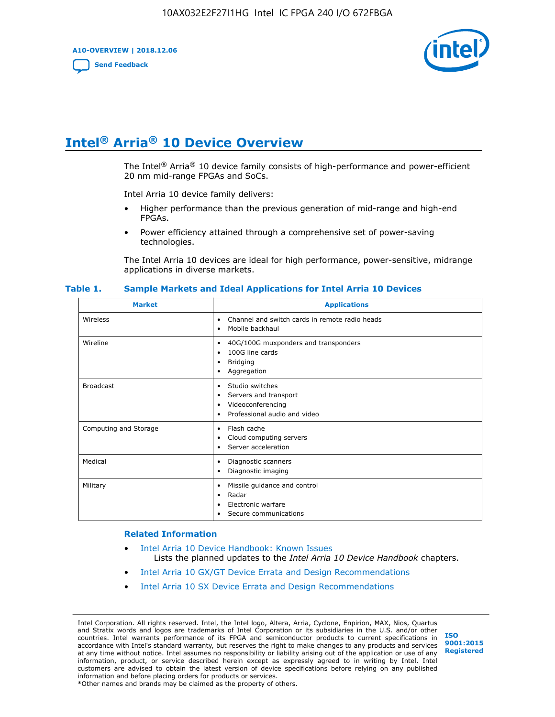**A10-OVERVIEW | 2018.12.06**

**[Send Feedback](mailto:FPGAtechdocfeedback@intel.com?subject=Feedback%20on%20Intel%20Arria%2010%20Device%20Overview%20(A10-OVERVIEW%202018.12.06)&body=We%20appreciate%20your%20feedback.%20In%20your%20comments,%20also%20specify%20the%20page%20number%20or%20paragraph.%20Thank%20you.)**



# **Intel® Arria® 10 Device Overview**

The Intel<sup>®</sup> Arria<sup>®</sup> 10 device family consists of high-performance and power-efficient 20 nm mid-range FPGAs and SoCs.

Intel Arria 10 device family delivers:

- Higher performance than the previous generation of mid-range and high-end FPGAs.
- Power efficiency attained through a comprehensive set of power-saving technologies.

The Intel Arria 10 devices are ideal for high performance, power-sensitive, midrange applications in diverse markets.

| <b>Market</b>         | <b>Applications</b>                                                                                               |
|-----------------------|-------------------------------------------------------------------------------------------------------------------|
| Wireless              | Channel and switch cards in remote radio heads<br>٠<br>Mobile backhaul<br>٠                                       |
| Wireline              | 40G/100G muxponders and transponders<br>٠<br>100G line cards<br>٠<br><b>Bridging</b><br>٠<br>Aggregation<br>٠     |
| <b>Broadcast</b>      | Studio switches<br>٠<br>Servers and transport<br>٠<br>Videoconferencing<br>٠<br>Professional audio and video<br>٠ |
| Computing and Storage | Flash cache<br>٠<br>Cloud computing servers<br>٠<br>Server acceleration<br>٠                                      |
| Medical               | Diagnostic scanners<br>٠<br>Diagnostic imaging<br>٠                                                               |
| Military              | Missile guidance and control<br>٠<br>Radar<br>٠<br>Electronic warfare<br>٠<br>Secure communications<br>٠          |

#### **Table 1. Sample Markets and Ideal Applications for Intel Arria 10 Devices**

#### **Related Information**

- [Intel Arria 10 Device Handbook: Known Issues](http://www.altera.com/support/kdb/solutions/rd07302013_646.html) Lists the planned updates to the *Intel Arria 10 Device Handbook* chapters.
- [Intel Arria 10 GX/GT Device Errata and Design Recommendations](https://www.intel.com/content/www/us/en/programmable/documentation/agz1493851706374.html#yqz1494433888646)
- [Intel Arria 10 SX Device Errata and Design Recommendations](https://www.intel.com/content/www/us/en/programmable/documentation/cru1462832385668.html#cru1462832558642)

Intel Corporation. All rights reserved. Intel, the Intel logo, Altera, Arria, Cyclone, Enpirion, MAX, Nios, Quartus and Stratix words and logos are trademarks of Intel Corporation or its subsidiaries in the U.S. and/or other countries. Intel warrants performance of its FPGA and semiconductor products to current specifications in accordance with Intel's standard warranty, but reserves the right to make changes to any products and services at any time without notice. Intel assumes no responsibility or liability arising out of the application or use of any information, product, or service described herein except as expressly agreed to in writing by Intel. Intel customers are advised to obtain the latest version of device specifications before relying on any published information and before placing orders for products or services. \*Other names and brands may be claimed as the property of others.

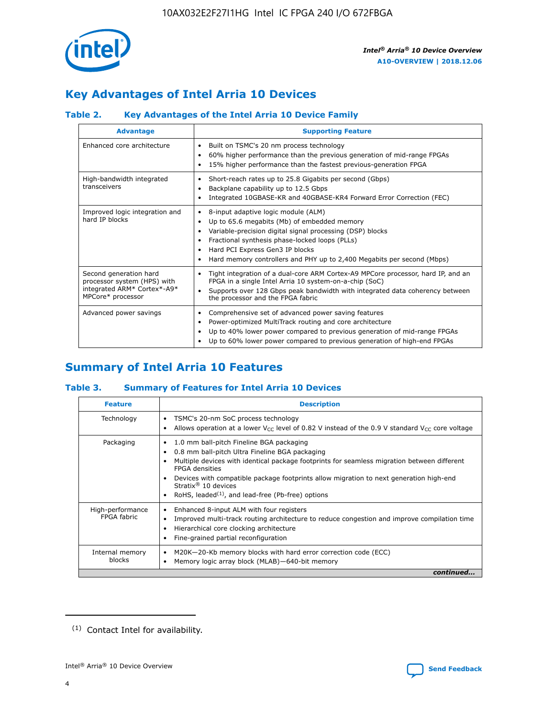

# **Key Advantages of Intel Arria 10 Devices**

# **Table 2. Key Advantages of the Intel Arria 10 Device Family**

| <b>Advantage</b>                                                                                          | <b>Supporting Feature</b>                                                                                                                                                                                                                                                                                                     |
|-----------------------------------------------------------------------------------------------------------|-------------------------------------------------------------------------------------------------------------------------------------------------------------------------------------------------------------------------------------------------------------------------------------------------------------------------------|
| Enhanced core architecture                                                                                | Built on TSMC's 20 nm process technology<br>$\bullet$<br>60% higher performance than the previous generation of mid-range FPGAs<br>٠<br>15% higher performance than the fastest previous-generation FPGA<br>٠                                                                                                                 |
| High-bandwidth integrated<br>transceivers                                                                 | Short-reach rates up to 25.8 Gigabits per second (Gbps)<br>٠<br>Backplane capability up to 12.5 Gbps<br>٠<br>Integrated 10GBASE-KR and 40GBASE-KR4 Forward Error Correction (FEC)<br>٠                                                                                                                                        |
| Improved logic integration and<br>hard IP blocks                                                          | 8-input adaptive logic module (ALM)<br>٠<br>Up to 65.6 megabits (Mb) of embedded memory<br>٠<br>Variable-precision digital signal processing (DSP) blocks<br>Fractional synthesis phase-locked loops (PLLs)<br>٠<br>Hard PCI Express Gen3 IP blocks<br>Hard memory controllers and PHY up to 2,400 Megabits per second (Mbps) |
| Second generation hard<br>processor system (HPS) with<br>integrated ARM* Cortex*-A9*<br>MPCore* processor | Tight integration of a dual-core ARM Cortex-A9 MPCore processor, hard IP, and an<br>٠<br>FPGA in a single Intel Arria 10 system-on-a-chip (SoC)<br>Supports over 128 Gbps peak bandwidth with integrated data coherency between<br>$\bullet$<br>the processor and the FPGA fabric                                             |
| Advanced power savings                                                                                    | Comprehensive set of advanced power saving features<br>٠<br>Power-optimized MultiTrack routing and core architecture<br>٠<br>Up to 40% lower power compared to previous generation of mid-range FPGAs<br>٠<br>Up to 60% lower power compared to previous generation of high-end FPGAs                                         |

# **Summary of Intel Arria 10 Features**

## **Table 3. Summary of Features for Intel Arria 10 Devices**

| <b>Feature</b>                  | <b>Description</b>                                                                                                                                                                                                                                                                                                                                                                                 |
|---------------------------------|----------------------------------------------------------------------------------------------------------------------------------------------------------------------------------------------------------------------------------------------------------------------------------------------------------------------------------------------------------------------------------------------------|
| Technology                      | TSMC's 20-nm SoC process technology<br>Allows operation at a lower $V_{\text{CC}}$ level of 0.82 V instead of the 0.9 V standard $V_{\text{CC}}$ core voltage                                                                                                                                                                                                                                      |
| Packaging                       | 1.0 mm ball-pitch Fineline BGA packaging<br>٠<br>0.8 mm ball-pitch Ultra Fineline BGA packaging<br>Multiple devices with identical package footprints for seamless migration between different<br><b>FPGA</b> densities<br>Devices with compatible package footprints allow migration to next generation high-end<br>Stratix $@10$ devices<br>RoHS, leaded $(1)$ , and lead-free (Pb-free) options |
| High-performance<br>FPGA fabric | Enhanced 8-input ALM with four registers<br>Improved multi-track routing architecture to reduce congestion and improve compilation time<br>Hierarchical core clocking architecture<br>Fine-grained partial reconfiguration                                                                                                                                                                         |
| Internal memory<br>blocks       | M20K-20-Kb memory blocks with hard error correction code (ECC)<br>Memory logic array block (MLAB)-640-bit memory                                                                                                                                                                                                                                                                                   |
|                                 | continued                                                                                                                                                                                                                                                                                                                                                                                          |



<sup>(1)</sup> Contact Intel for availability.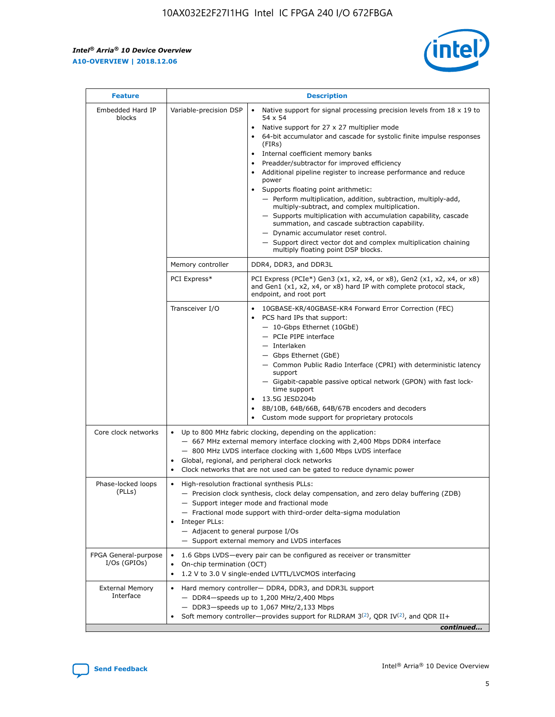$\mathsf{r}$ 



| <b>Feature</b>                         |                                                                                                                | <b>Description</b>                                                                                                                                                                                                                                                                                                                                                                                                                                                                                                                                                                                                                                                                                                                                                                                                                          |
|----------------------------------------|----------------------------------------------------------------------------------------------------------------|---------------------------------------------------------------------------------------------------------------------------------------------------------------------------------------------------------------------------------------------------------------------------------------------------------------------------------------------------------------------------------------------------------------------------------------------------------------------------------------------------------------------------------------------------------------------------------------------------------------------------------------------------------------------------------------------------------------------------------------------------------------------------------------------------------------------------------------------|
| Embedded Hard IP<br>blocks             | Variable-precision DSP                                                                                         | Native support for signal processing precision levels from $18 \times 19$ to<br>$\bullet$<br>54 x 54<br>Native support for 27 x 27 multiplier mode<br>64-bit accumulator and cascade for systolic finite impulse responses<br>(FIRS)<br>Internal coefficient memory banks<br>٠<br>Preadder/subtractor for improved efficiency<br>Additional pipeline register to increase performance and reduce<br>power<br>Supports floating point arithmetic:<br>- Perform multiplication, addition, subtraction, multiply-add,<br>multiply-subtract, and complex multiplication.<br>- Supports multiplication with accumulation capability, cascade<br>summation, and cascade subtraction capability.<br>- Dynamic accumulator reset control.<br>- Support direct vector dot and complex multiplication chaining<br>multiply floating point DSP blocks. |
|                                        | Memory controller                                                                                              | DDR4, DDR3, and DDR3L                                                                                                                                                                                                                                                                                                                                                                                                                                                                                                                                                                                                                                                                                                                                                                                                                       |
|                                        | PCI Express*                                                                                                   | PCI Express (PCIe*) Gen3 (x1, x2, x4, or x8), Gen2 (x1, x2, x4, or x8)<br>and Gen1 (x1, x2, x4, or x8) hard IP with complete protocol stack,<br>endpoint, and root port                                                                                                                                                                                                                                                                                                                                                                                                                                                                                                                                                                                                                                                                     |
|                                        | Transceiver I/O                                                                                                | 10GBASE-KR/40GBASE-KR4 Forward Error Correction (FEC)<br>PCS hard IPs that support:<br>- 10-Gbps Ethernet (10GbE)<br>- PCIe PIPE interface<br>- Interlaken<br>- Gbps Ethernet (GbE)<br>- Common Public Radio Interface (CPRI) with deterministic latency<br>support<br>- Gigabit-capable passive optical network (GPON) with fast lock-<br>time support<br>13.5G JESD204b<br>8B/10B, 64B/66B, 64B/67B encoders and decoders<br>Custom mode support for proprietary protocols                                                                                                                                                                                                                                                                                                                                                                |
| Core clock networks                    | $\bullet$                                                                                                      | Up to 800 MHz fabric clocking, depending on the application:<br>- 667 MHz external memory interface clocking with 2,400 Mbps DDR4 interface<br>- 800 MHz LVDS interface clocking with 1,600 Mbps LVDS interface<br>Global, regional, and peripheral clock networks<br>Clock networks that are not used can be gated to reduce dynamic power                                                                                                                                                                                                                                                                                                                                                                                                                                                                                                 |
| Phase-locked loops<br>(PLLs)           | High-resolution fractional synthesis PLLs:<br>$\bullet$<br>Integer PLLs:<br>- Adjacent to general purpose I/Os | - Precision clock synthesis, clock delay compensation, and zero delay buffering (ZDB)<br>- Support integer mode and fractional mode<br>- Fractional mode support with third-order delta-sigma modulation<br>- Support external memory and LVDS interfaces                                                                                                                                                                                                                                                                                                                                                                                                                                                                                                                                                                                   |
| FPGA General-purpose<br>$I/Os$ (GPIOs) | On-chip termination (OCT)<br>$\bullet$                                                                         | 1.6 Gbps LVDS-every pair can be configured as receiver or transmitter<br>1.2 V to 3.0 V single-ended LVTTL/LVCMOS interfacing                                                                                                                                                                                                                                                                                                                                                                                                                                                                                                                                                                                                                                                                                                               |
| <b>External Memory</b><br>Interface    |                                                                                                                | Hard memory controller- DDR4, DDR3, and DDR3L support<br>$-$ DDR4 $-$ speeds up to 1,200 MHz/2,400 Mbps<br>- DDR3-speeds up to 1,067 MHz/2,133 Mbps<br>Soft memory controller—provides support for RLDRAM $3^{(2)}$ , QDR IV $(2)$ , and QDR II+<br>continued                                                                                                                                                                                                                                                                                                                                                                                                                                                                                                                                                                               |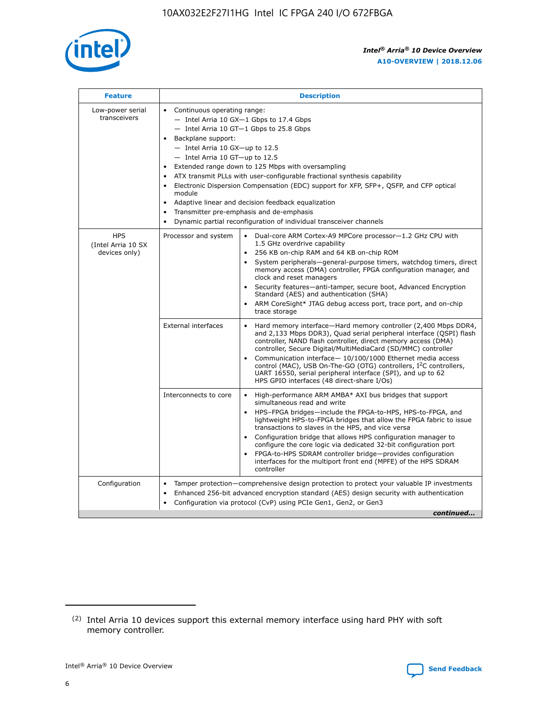

| <b>Feature</b>                                    | <b>Description</b>                                                                                                                                                                                                                                                                                                                                                                                                                                                                                                                                                                                                                                                 |
|---------------------------------------------------|--------------------------------------------------------------------------------------------------------------------------------------------------------------------------------------------------------------------------------------------------------------------------------------------------------------------------------------------------------------------------------------------------------------------------------------------------------------------------------------------------------------------------------------------------------------------------------------------------------------------------------------------------------------------|
| Low-power serial<br>transceivers                  | • Continuous operating range:<br>- Intel Arria 10 GX-1 Gbps to 17.4 Gbps<br>- Intel Arria 10 GT-1 Gbps to 25.8 Gbps<br>Backplane support:<br>$-$ Intel Arria 10 GX-up to 12.5<br>- Intel Arria 10 GT-up to 12.5<br>Extended range down to 125 Mbps with oversampling<br>ATX transmit PLLs with user-configurable fractional synthesis capability<br>$\bullet$<br>Electronic Dispersion Compensation (EDC) support for XFP, SFP+, OSFP, and CFP optical<br>module<br>Adaptive linear and decision feedback equalization<br>$\bullet$<br>Transmitter pre-emphasis and de-emphasis<br>$\bullet$<br>Dynamic partial reconfiguration of individual transceiver channels |
| <b>HPS</b><br>(Intel Arria 10 SX<br>devices only) | • Dual-core ARM Cortex-A9 MPCore processor-1.2 GHz CPU with<br>Processor and system<br>1.5 GHz overdrive capability<br>256 KB on-chip RAM and 64 KB on-chip ROM<br>$\bullet$<br>System peripherals—general-purpose timers, watchdog timers, direct<br>memory access (DMA) controller, FPGA configuration manager, and<br>clock and reset managers<br>Security features—anti-tamper, secure boot, Advanced Encryption<br>$\bullet$<br>Standard (AES) and authentication (SHA)<br>ARM CoreSight* JTAG debug access port, trace port, and on-chip<br>$\bullet$<br>trace storage                                                                                       |
|                                                   | <b>External interfaces</b><br>Hard memory interface-Hard memory controller (2,400 Mbps DDR4,<br>$\bullet$<br>and 2,133 Mbps DDR3), Quad serial peripheral interface (QSPI) flash<br>controller, NAND flash controller, direct memory access (DMA)<br>controller, Secure Digital/MultiMediaCard (SD/MMC) controller<br>Communication interface-10/100/1000 Ethernet media access<br>$\bullet$<br>control (MAC), USB On-The-GO (OTG) controllers, I <sup>2</sup> C controllers,<br>UART 16550, serial peripheral interface (SPI), and up to 62<br>HPS GPIO interfaces (48 direct-share I/Os)                                                                         |
|                                                   | Interconnects to core<br>High-performance ARM AMBA* AXI bus bridges that support<br>$\bullet$<br>simultaneous read and write<br>HPS-FPGA bridges-include the FPGA-to-HPS, HPS-to-FPGA, and<br>$\bullet$<br>lightweight HPS-to-FPGA bridges that allow the FPGA fabric to issue<br>transactions to slaves in the HPS, and vice versa<br>Configuration bridge that allows HPS configuration manager to<br>configure the core logic via dedicated 32-bit configuration port<br>FPGA-to-HPS SDRAM controller bridge-provides configuration<br>interfaces for the multiport front end (MPFE) of the HPS SDRAM<br>controller                                             |
| Configuration                                     | Tamper protection—comprehensive design protection to protect your valuable IP investments<br>Enhanced 256-bit advanced encryption standard (AES) design security with authentication<br>٠<br>Configuration via protocol (CvP) using PCIe Gen1, Gen2, or Gen3<br>continued                                                                                                                                                                                                                                                                                                                                                                                          |

<sup>(2)</sup> Intel Arria 10 devices support this external memory interface using hard PHY with soft memory controller.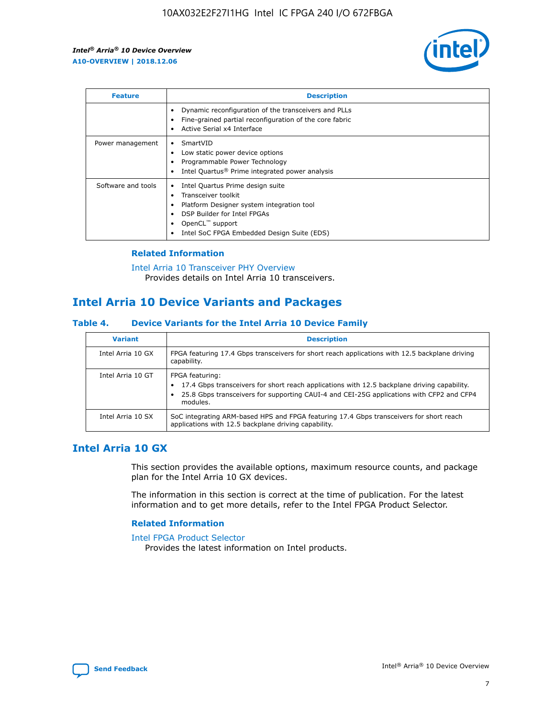

| <b>Feature</b>     | <b>Description</b>                                                                                                                                                                                                                 |
|--------------------|------------------------------------------------------------------------------------------------------------------------------------------------------------------------------------------------------------------------------------|
|                    | Dynamic reconfiguration of the transceivers and PLLs<br>Fine-grained partial reconfiguration of the core fabric<br>Active Serial x4 Interface                                                                                      |
| Power management   | SmartVID<br>Low static power device options<br>Programmable Power Technology<br>Intel Quartus <sup>®</sup> Prime integrated power analysis                                                                                         |
| Software and tools | Intel Quartus Prime design suite<br>٠<br>Transceiver toolkit<br>$\bullet$<br>Platform Designer system integration tool<br>DSP Builder for Intel FPGAs<br>OpenCL <sup>™</sup> support<br>Intel SoC FPGA Embedded Design Suite (EDS) |

## **Related Information**

[Intel Arria 10 Transceiver PHY Overview](https://www.intel.com/content/www/us/en/programmable/documentation/nik1398707230472.html#nik1398706768037) Provides details on Intel Arria 10 transceivers.

# **Intel Arria 10 Device Variants and Packages**

#### **Table 4. Device Variants for the Intel Arria 10 Device Family**

| <b>Variant</b>    | <b>Description</b>                                                                                                                                                                                                     |
|-------------------|------------------------------------------------------------------------------------------------------------------------------------------------------------------------------------------------------------------------|
| Intel Arria 10 GX | FPGA featuring 17.4 Gbps transceivers for short reach applications with 12.5 backplane driving<br>capability.                                                                                                          |
| Intel Arria 10 GT | FPGA featuring:<br>17.4 Gbps transceivers for short reach applications with 12.5 backplane driving capability.<br>25.8 Gbps transceivers for supporting CAUI-4 and CEI-25G applications with CFP2 and CFP4<br>modules. |
| Intel Arria 10 SX | SoC integrating ARM-based HPS and FPGA featuring 17.4 Gbps transceivers for short reach<br>applications with 12.5 backplane driving capability.                                                                        |

# **Intel Arria 10 GX**

This section provides the available options, maximum resource counts, and package plan for the Intel Arria 10 GX devices.

The information in this section is correct at the time of publication. For the latest information and to get more details, refer to the Intel FPGA Product Selector.

#### **Related Information**

#### [Intel FPGA Product Selector](http://www.altera.com/products/selector/psg-selector.html) Provides the latest information on Intel products.

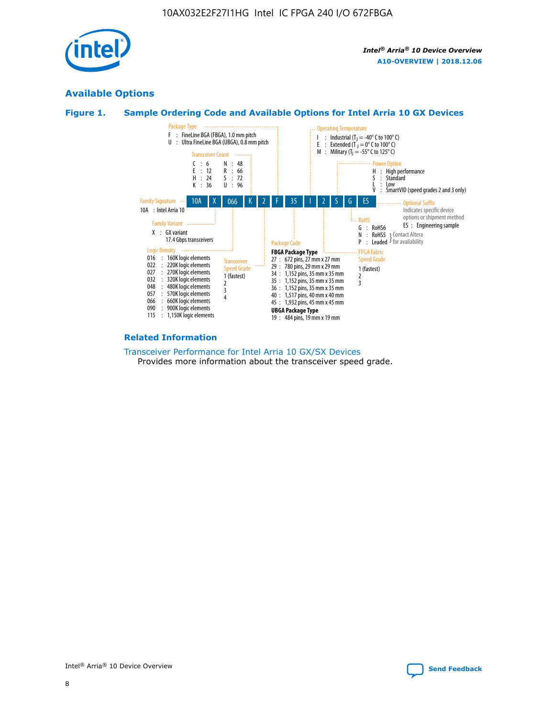

# **Available Options**





#### **Related Information**

[Transceiver Performance for Intel Arria 10 GX/SX Devices](https://www.intel.com/content/www/us/en/programmable/documentation/mcn1413182292568.html#mcn1413213965502) Provides more information about the transceiver speed grade.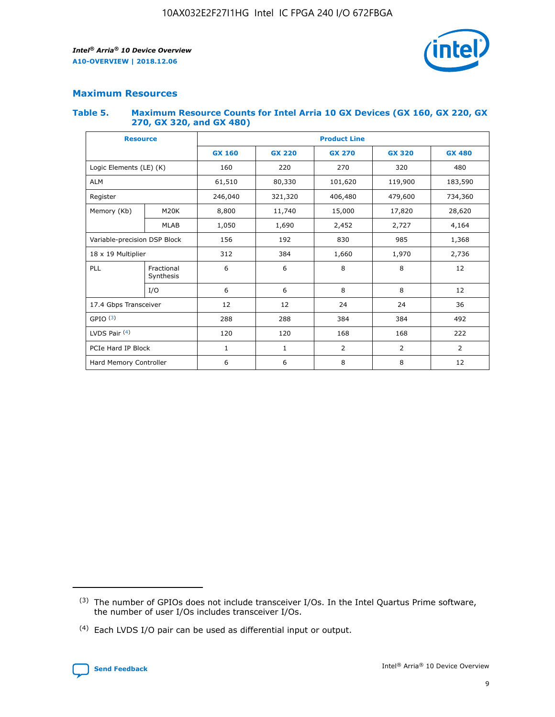

## **Maximum Resources**

#### **Table 5. Maximum Resource Counts for Intel Arria 10 GX Devices (GX 160, GX 220, GX 270, GX 320, and GX 480)**

| <b>Resource</b>              |                         | <b>Product Line</b> |                                                 |                |                |                |  |  |  |
|------------------------------|-------------------------|---------------------|-------------------------------------------------|----------------|----------------|----------------|--|--|--|
|                              |                         | <b>GX 160</b>       | <b>GX 220</b><br><b>GX 270</b><br><b>GX 320</b> |                |                | <b>GX 480</b>  |  |  |  |
| Logic Elements (LE) (K)      |                         | 160                 | 220                                             | 270            | 320            | 480            |  |  |  |
| <b>ALM</b>                   |                         | 61,510              | 80,330                                          | 101,620        | 119,900        | 183,590        |  |  |  |
| Register                     |                         | 246,040             | 321,320                                         | 406,480        | 479,600        | 734,360        |  |  |  |
| Memory (Kb)                  | M <sub>20</sub> K       | 8,800               | 11,740                                          | 15,000         | 17,820         | 28,620         |  |  |  |
|                              | <b>MLAB</b>             | 1,050               | 1,690                                           | 2,452<br>2,727 |                | 4,164          |  |  |  |
| Variable-precision DSP Block |                         | 156                 | 192                                             | 830<br>985     |                | 1,368          |  |  |  |
| 18 x 19 Multiplier           |                         | 312                 | 384                                             | 1,970<br>1,660 |                | 2,736          |  |  |  |
| PLL                          | Fractional<br>Synthesis | 6                   | 6                                               | 8              | 8              | 12             |  |  |  |
|                              | I/O                     | 6                   | 6                                               | 8              | 8              | 12             |  |  |  |
| 17.4 Gbps Transceiver        |                         | 12                  | 12                                              | 24             | 24             | 36             |  |  |  |
| GPIO <sup>(3)</sup>          |                         | 288                 | 288                                             | 384            | 384            | 492            |  |  |  |
| LVDS Pair $(4)$              |                         | 120                 | 120                                             | 168            | 168            | 222            |  |  |  |
| PCIe Hard IP Block           |                         | 1                   | 1                                               | 2              | $\overline{2}$ | $\overline{2}$ |  |  |  |
| Hard Memory Controller       |                         | 6                   | 6                                               | 8              | 8              | 12             |  |  |  |

<sup>(4)</sup> Each LVDS I/O pair can be used as differential input or output.



<sup>(3)</sup> The number of GPIOs does not include transceiver I/Os. In the Intel Quartus Prime software, the number of user I/Os includes transceiver I/Os.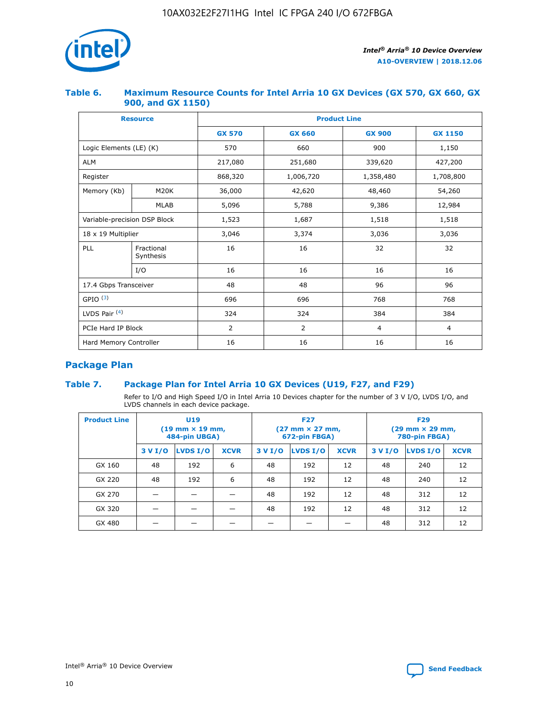

## **Table 6. Maximum Resource Counts for Intel Arria 10 GX Devices (GX 570, GX 660, GX 900, and GX 1150)**

|                              | <b>Resource</b>         | <b>Product Line</b> |                                |                |                |  |  |  |  |
|------------------------------|-------------------------|---------------------|--------------------------------|----------------|----------------|--|--|--|--|
|                              |                         | <b>GX 570</b>       | <b>GX 660</b><br><b>GX 900</b> |                | <b>GX 1150</b> |  |  |  |  |
| Logic Elements (LE) (K)      |                         | 570                 | 660                            | 900            | 1,150          |  |  |  |  |
| <b>ALM</b>                   |                         | 217,080             | 251,680                        | 339,620        | 427,200        |  |  |  |  |
| Register                     |                         | 868,320             | 1,006,720                      | 1,358,480      | 1,708,800      |  |  |  |  |
| Memory (Kb)                  | <b>M20K</b>             | 36,000              | 42,620                         | 48,460         | 54,260         |  |  |  |  |
|                              | <b>MLAB</b>             | 5,096               | 5,788                          |                | 12,984         |  |  |  |  |
| Variable-precision DSP Block |                         | 1,523               | 1,687                          | 1,518          | 1,518          |  |  |  |  |
| $18 \times 19$ Multiplier    |                         | 3,046               | 3,374                          | 3,036          | 3,036          |  |  |  |  |
| PLL                          | Fractional<br>Synthesis | 16                  | 16                             | 32             | 32             |  |  |  |  |
|                              | I/O                     | 16                  | 16                             | 16             | 16             |  |  |  |  |
| 17.4 Gbps Transceiver        |                         | 48                  | 48<br>96                       |                | 96             |  |  |  |  |
| GPIO <sup>(3)</sup>          |                         | 696                 | 696                            | 768            | 768            |  |  |  |  |
| LVDS Pair $(4)$              |                         | 324                 | 324<br>384                     |                | 384            |  |  |  |  |
| PCIe Hard IP Block           |                         | 2                   | $\overline{2}$                 | $\overline{4}$ | 4              |  |  |  |  |
| Hard Memory Controller       |                         | 16                  | 16                             | 16             | 16             |  |  |  |  |

# **Package Plan**

## **Table 7. Package Plan for Intel Arria 10 GX Devices (U19, F27, and F29)**

Refer to I/O and High Speed I/O in Intel Arria 10 Devices chapter for the number of 3 V I/O, LVDS I/O, and LVDS channels in each device package.

| <b>Product Line</b> | U <sub>19</sub><br>$(19 \text{ mm} \times 19 \text{ mm})$<br>484-pin UBGA) |          |             |         | <b>F27</b><br>(27 mm × 27 mm,<br>672-pin FBGA) |             | <b>F29</b><br>$(29 \text{ mm} \times 29 \text{ mm})$<br>780-pin FBGA) |          |             |  |
|---------------------|----------------------------------------------------------------------------|----------|-------------|---------|------------------------------------------------|-------------|-----------------------------------------------------------------------|----------|-------------|--|
|                     | 3 V I/O                                                                    | LVDS I/O | <b>XCVR</b> | 3 V I/O | <b>LVDS I/O</b>                                | <b>XCVR</b> | 3 V I/O                                                               | LVDS I/O | <b>XCVR</b> |  |
| GX 160              | 48                                                                         | 192      | 6           | 48      | 192                                            | 12          | 48                                                                    | 240      | 12          |  |
| GX 220              | 48                                                                         | 192      | 6           | 48      | 192                                            | 12          | 48                                                                    | 240      | 12          |  |
| GX 270              |                                                                            |          |             | 48      | 192                                            | 12          | 48                                                                    | 312      | 12          |  |
| GX 320              |                                                                            |          |             | 48      | 192                                            | 12          | 48                                                                    | 312      | 12          |  |
| GX 480              |                                                                            |          |             |         |                                                |             | 48                                                                    | 312      | 12          |  |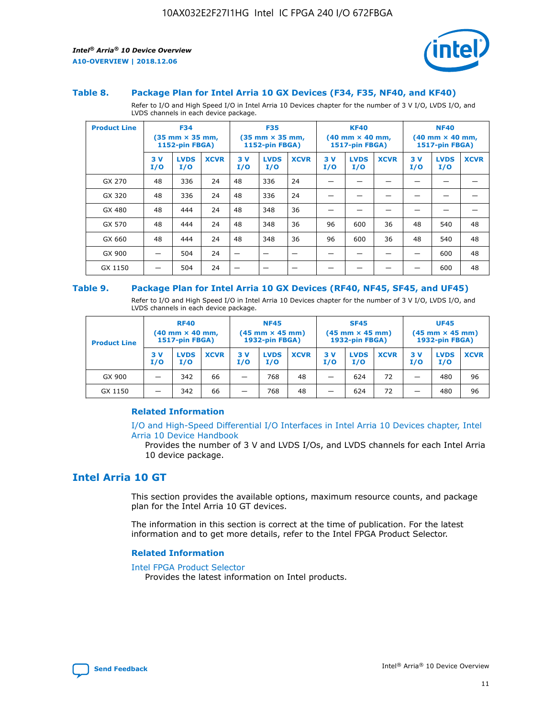

#### **Table 8. Package Plan for Intel Arria 10 GX Devices (F34, F35, NF40, and KF40)**

Refer to I/O and High Speed I/O in Intel Arria 10 Devices chapter for the number of 3 V I/O, LVDS I/O, and LVDS channels in each device package.

| <b>Product Line</b> | <b>F34</b><br>$(35 \text{ mm} \times 35 \text{ mm})$<br><b>1152-pin FBGA)</b> |                    | <b>F35</b><br>$(35 \text{ mm} \times 35 \text{ mm})$<br>1152-pin FBGA) |           | <b>KF40</b><br>$(40$ mm $\times$ 40 mm,<br><b>1517-pin FBGA)</b> |             |           | <b>NF40</b><br>$(40 \text{ mm} \times 40 \text{ mm})$<br>1517-pin FBGA) |             |           |                    |             |
|---------------------|-------------------------------------------------------------------------------|--------------------|------------------------------------------------------------------------|-----------|------------------------------------------------------------------|-------------|-----------|-------------------------------------------------------------------------|-------------|-----------|--------------------|-------------|
|                     | 3V<br>I/O                                                                     | <b>LVDS</b><br>I/O | <b>XCVR</b>                                                            | 3V<br>I/O | <b>LVDS</b><br>I/O                                               | <b>XCVR</b> | 3V<br>I/O | <b>LVDS</b><br>I/O                                                      | <b>XCVR</b> | 3V<br>I/O | <b>LVDS</b><br>I/O | <b>XCVR</b> |
| GX 270              | 48                                                                            | 336                | 24                                                                     | 48        | 336                                                              | 24          |           |                                                                         |             |           |                    |             |
| GX 320              | 48                                                                            | 336                | 24                                                                     | 48        | 336                                                              | 24          |           |                                                                         |             |           |                    |             |
| GX 480              | 48                                                                            | 444                | 24                                                                     | 48        | 348                                                              | 36          |           |                                                                         |             |           |                    |             |
| GX 570              | 48                                                                            | 444                | 24                                                                     | 48        | 348                                                              | 36          | 96        | 600                                                                     | 36          | 48        | 540                | 48          |
| GX 660              | 48                                                                            | 444                | 24                                                                     | 48        | 348                                                              | 36          | 96        | 600                                                                     | 36          | 48        | 540                | 48          |
| GX 900              |                                                                               | 504                | 24                                                                     | —         |                                                                  | -           |           |                                                                         |             |           | 600                | 48          |
| GX 1150             |                                                                               | 504                | 24                                                                     |           |                                                                  |             |           |                                                                         |             |           | 600                | 48          |

#### **Table 9. Package Plan for Intel Arria 10 GX Devices (RF40, NF45, SF45, and UF45)**

Refer to I/O and High Speed I/O in Intel Arria 10 Devices chapter for the number of 3 V I/O, LVDS I/O, and LVDS channels in each device package.

| <b>Product Line</b> | <b>RF40</b><br>$(40$ mm $\times$ 40 mm,<br>1517-pin FBGA) |                    |             | <b>NF45</b><br>$(45 \text{ mm} \times 45 \text{ mm})$<br><b>1932-pin FBGA)</b> |                    |             | <b>SF45</b><br>$(45 \text{ mm} \times 45 \text{ mm})$<br><b>1932-pin FBGA)</b> |                    |             | <b>UF45</b><br>$(45 \text{ mm} \times 45 \text{ mm})$<br><b>1932-pin FBGA)</b> |                    |             |
|---------------------|-----------------------------------------------------------|--------------------|-------------|--------------------------------------------------------------------------------|--------------------|-------------|--------------------------------------------------------------------------------|--------------------|-------------|--------------------------------------------------------------------------------|--------------------|-------------|
|                     | 3V<br>I/O                                                 | <b>LVDS</b><br>I/O | <b>XCVR</b> | 3 V<br>I/O                                                                     | <b>LVDS</b><br>I/O | <b>XCVR</b> | 3 V<br>I/O                                                                     | <b>LVDS</b><br>I/O | <b>XCVR</b> | 3V<br>I/O                                                                      | <b>LVDS</b><br>I/O | <b>XCVR</b> |
| GX 900              |                                                           | 342                | 66          | _                                                                              | 768                | 48          |                                                                                | 624                | 72          |                                                                                | 480                | 96          |
| GX 1150             |                                                           | 342                | 66          | _                                                                              | 768                | 48          |                                                                                | 624                | 72          |                                                                                | 480                | 96          |

#### **Related Information**

[I/O and High-Speed Differential I/O Interfaces in Intel Arria 10 Devices chapter, Intel](https://www.intel.com/content/www/us/en/programmable/documentation/sam1403482614086.html#sam1403482030321) [Arria 10 Device Handbook](https://www.intel.com/content/www/us/en/programmable/documentation/sam1403482614086.html#sam1403482030321)

Provides the number of 3 V and LVDS I/Os, and LVDS channels for each Intel Arria 10 device package.

# **Intel Arria 10 GT**

This section provides the available options, maximum resource counts, and package plan for the Intel Arria 10 GT devices.

The information in this section is correct at the time of publication. For the latest information and to get more details, refer to the Intel FPGA Product Selector.

#### **Related Information**

#### [Intel FPGA Product Selector](http://www.altera.com/products/selector/psg-selector.html)

Provides the latest information on Intel products.

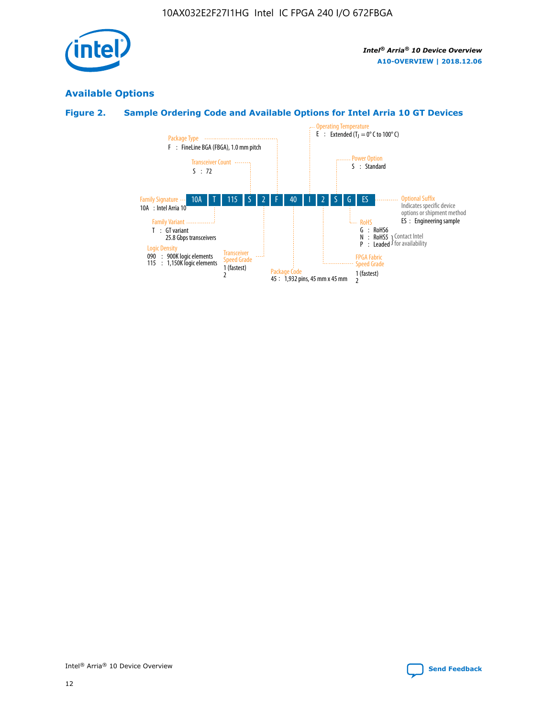

# **Available Options**

# **Figure 2. Sample Ordering Code and Available Options for Intel Arria 10 GT Devices**

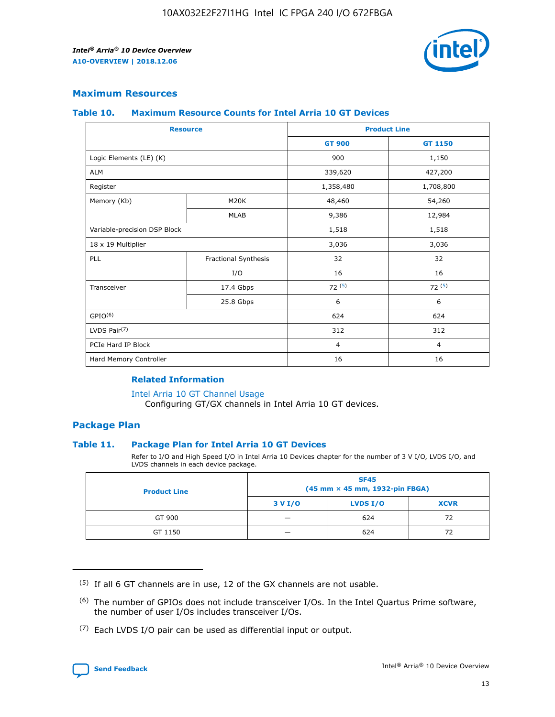

## **Maximum Resources**

#### **Table 10. Maximum Resource Counts for Intel Arria 10 GT Devices**

|                              | <b>Resource</b>      | <b>Product Line</b> |                |  |
|------------------------------|----------------------|---------------------|----------------|--|
|                              |                      | <b>GT 900</b>       | GT 1150        |  |
| Logic Elements (LE) (K)      |                      | 900                 | 1,150          |  |
| <b>ALM</b>                   |                      | 339,620             | 427,200        |  |
| Register                     |                      | 1,358,480           | 1,708,800      |  |
| Memory (Kb)                  | M20K                 | 48,460              | 54,260         |  |
|                              | <b>MLAB</b>          | 9,386               | 12,984         |  |
| Variable-precision DSP Block |                      | 1,518               | 1,518          |  |
| 18 x 19 Multiplier           |                      | 3,036               | 3,036          |  |
| PLL                          | Fractional Synthesis | 32                  | 32             |  |
|                              | I/O                  | 16                  | 16             |  |
| Transceiver                  | 17.4 Gbps            | 72(5)               | 72(5)          |  |
|                              | 25.8 Gbps            | 6                   | 6              |  |
| GPIO <sup>(6)</sup>          |                      | 624                 | 624            |  |
| LVDS Pair $(7)$              |                      | 312                 | 312            |  |
| PCIe Hard IP Block           |                      | $\overline{4}$      | $\overline{4}$ |  |
| Hard Memory Controller       |                      | 16                  | 16             |  |

#### **Related Information**

#### [Intel Arria 10 GT Channel Usage](https://www.intel.com/content/www/us/en/programmable/documentation/nik1398707230472.html#nik1398707008178)

Configuring GT/GX channels in Intel Arria 10 GT devices.

## **Package Plan**

#### **Table 11. Package Plan for Intel Arria 10 GT Devices**

Refer to I/O and High Speed I/O in Intel Arria 10 Devices chapter for the number of 3 V I/O, LVDS I/O, and LVDS channels in each device package.

| <b>Product Line</b> | <b>SF45</b><br>(45 mm × 45 mm, 1932-pin FBGA) |                 |             |  |  |  |
|---------------------|-----------------------------------------------|-----------------|-------------|--|--|--|
|                     | 3 V I/O                                       | <b>LVDS I/O</b> | <b>XCVR</b> |  |  |  |
| GT 900              |                                               | 624             | 72          |  |  |  |
| GT 1150             |                                               | 624             | 72          |  |  |  |

<sup>(7)</sup> Each LVDS I/O pair can be used as differential input or output.



 $(5)$  If all 6 GT channels are in use, 12 of the GX channels are not usable.

<sup>(6)</sup> The number of GPIOs does not include transceiver I/Os. In the Intel Quartus Prime software, the number of user I/Os includes transceiver I/Os.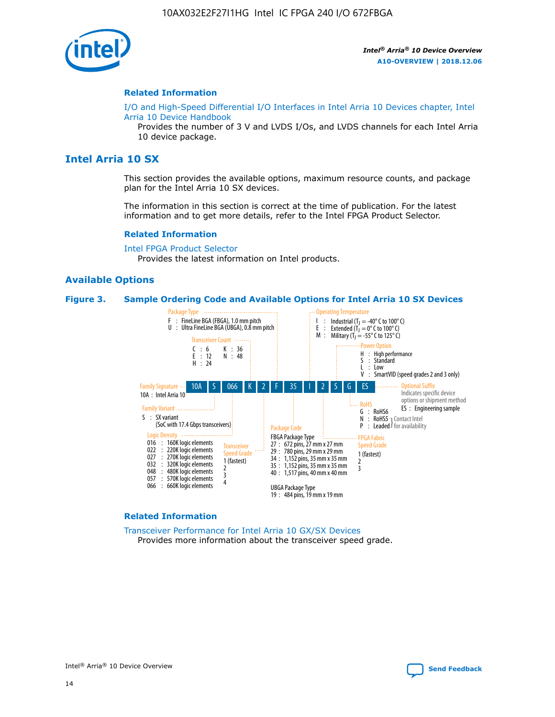

#### **Related Information**

[I/O and High-Speed Differential I/O Interfaces in Intel Arria 10 Devices chapter, Intel](https://www.intel.com/content/www/us/en/programmable/documentation/sam1403482614086.html#sam1403482030321) [Arria 10 Device Handbook](https://www.intel.com/content/www/us/en/programmable/documentation/sam1403482614086.html#sam1403482030321)

Provides the number of 3 V and LVDS I/Os, and LVDS channels for each Intel Arria 10 device package.

# **Intel Arria 10 SX**

This section provides the available options, maximum resource counts, and package plan for the Intel Arria 10 SX devices.

The information in this section is correct at the time of publication. For the latest information and to get more details, refer to the Intel FPGA Product Selector.

#### **Related Information**

[Intel FPGA Product Selector](http://www.altera.com/products/selector/psg-selector.html) Provides the latest information on Intel products.

#### **Available Options**

#### **Figure 3. Sample Ordering Code and Available Options for Intel Arria 10 SX Devices**



#### **Related Information**

[Transceiver Performance for Intel Arria 10 GX/SX Devices](https://www.intel.com/content/www/us/en/programmable/documentation/mcn1413182292568.html#mcn1413213965502) Provides more information about the transceiver speed grade.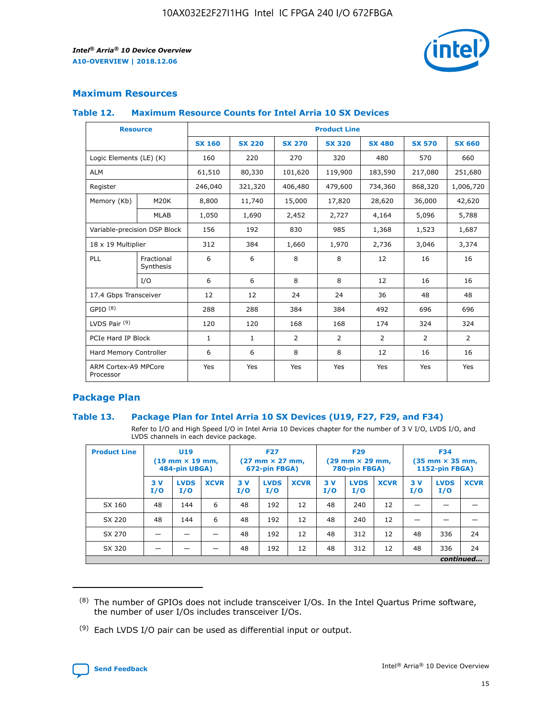

## **Maximum Resources**

#### **Table 12. Maximum Resource Counts for Intel Arria 10 SX Devices**

|                                   | <b>Resource</b>         | <b>Product Line</b> |               |                |                |                |                |                |  |  |  |
|-----------------------------------|-------------------------|---------------------|---------------|----------------|----------------|----------------|----------------|----------------|--|--|--|
|                                   |                         | <b>SX 160</b>       | <b>SX 220</b> | <b>SX 270</b>  | <b>SX 320</b>  | <b>SX 480</b>  | <b>SX 570</b>  | <b>SX 660</b>  |  |  |  |
| Logic Elements (LE) (K)           |                         | 160                 | 220           | 270            | 320            | 480            | 570            | 660            |  |  |  |
| <b>ALM</b>                        |                         | 61,510              | 80,330        | 101,620        | 119,900        | 183,590        | 217,080        | 251,680        |  |  |  |
| Register                          |                         | 246,040             | 321,320       | 406,480        | 479,600        | 734,360        | 868,320        | 1,006,720      |  |  |  |
| Memory (Kb)                       | M <sub>20</sub> K       | 8,800               | 11,740        | 15,000         | 17,820         | 28,620         | 36,000         | 42,620         |  |  |  |
|                                   | <b>MLAB</b>             | 1,050               | 1,690         | 2,452          | 2,727          | 4,164          | 5,096          | 5,788          |  |  |  |
| Variable-precision DSP Block      |                         | 156                 | 192           | 830            | 985            | 1,368          | 1,523          | 1,687          |  |  |  |
| 18 x 19 Multiplier                |                         | 312                 | 384           | 1,660          | 1,970          | 2,736          | 3,046          | 3,374          |  |  |  |
| <b>PLL</b>                        | Fractional<br>Synthesis | 6                   | 6             | 8              | 8              | 12             | 16             | 16             |  |  |  |
|                                   | I/O                     | 6                   | 6             | 8              | 8              | 12             | 16             | 16             |  |  |  |
| 17.4 Gbps Transceiver             |                         | 12                  | 12            | 24             | 24             | 36             | 48             | 48             |  |  |  |
| GPIO <sup>(8)</sup>               |                         | 288                 | 288           | 384            | 384            | 492            | 696            | 696            |  |  |  |
| LVDS Pair $(9)$                   |                         | 120                 | 120           | 168            | 168            | 174            | 324            | 324            |  |  |  |
| PCIe Hard IP Block                |                         | $\mathbf{1}$        | $\mathbf{1}$  | $\overline{2}$ | $\overline{2}$ | $\overline{2}$ | $\overline{2}$ | $\overline{2}$ |  |  |  |
| Hard Memory Controller            |                         | 6                   | 6             | 8              | 8              | 12             | 16             | 16             |  |  |  |
| ARM Cortex-A9 MPCore<br>Processor |                         | Yes                 | Yes           | Yes            | Yes            | Yes            | Yes            | Yes            |  |  |  |

## **Package Plan**

#### **Table 13. Package Plan for Intel Arria 10 SX Devices (U19, F27, F29, and F34)**

Refer to I/O and High Speed I/O in Intel Arria 10 Devices chapter for the number of 3 V I/O, LVDS I/O, and LVDS channels in each device package.

| <b>Product Line</b> | U19<br>$(19 \text{ mm} \times 19 \text{ mm})$<br>484-pin UBGA) |                    |             | <b>F27</b><br>$(27 \text{ mm} \times 27 \text{ mm})$ .<br>672-pin FBGA) |                    | <b>F29</b><br>$(29 \text{ mm} \times 29 \text{ mm})$ .<br>780-pin FBGA) |            |                    | <b>F34</b><br>$(35 \text{ mm} \times 35 \text{ mm})$<br><b>1152-pin FBGA)</b> |           |                    |             |
|---------------------|----------------------------------------------------------------|--------------------|-------------|-------------------------------------------------------------------------|--------------------|-------------------------------------------------------------------------|------------|--------------------|-------------------------------------------------------------------------------|-----------|--------------------|-------------|
|                     | 3V<br>I/O                                                      | <b>LVDS</b><br>I/O | <b>XCVR</b> | 3V<br>I/O                                                               | <b>LVDS</b><br>I/O | <b>XCVR</b>                                                             | 3 V<br>I/O | <b>LVDS</b><br>I/O | <b>XCVR</b>                                                                   | 3V<br>I/O | <b>LVDS</b><br>I/O | <b>XCVR</b> |
| SX 160              | 48                                                             | 144                | 6           | 48                                                                      | 192                | 12                                                                      | 48         | 240                | 12                                                                            |           |                    |             |
| SX 220              | 48                                                             | 144                | 6           | 48                                                                      | 192                | 12                                                                      | 48         | 240                | 12                                                                            |           |                    |             |
| SX 270              |                                                                |                    |             | 48                                                                      | 192                | 12                                                                      | 48         | 312                | 12                                                                            | 48        | 336                | 24          |
| SX 320              |                                                                |                    |             | 48                                                                      | 192                | 12                                                                      | 48         | 312                | 12                                                                            | 48        | 336                | 24          |
|                     | continued                                                      |                    |             |                                                                         |                    |                                                                         |            |                    |                                                                               |           |                    |             |

 $(8)$  The number of GPIOs does not include transceiver I/Os. In the Intel Quartus Prime software, the number of user I/Os includes transceiver I/Os.

 $(9)$  Each LVDS I/O pair can be used as differential input or output.

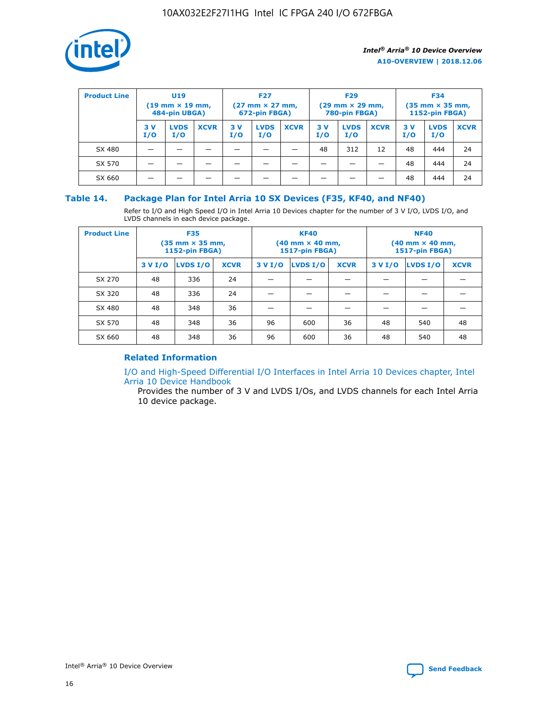

| <b>Product Line</b> | <b>U19</b><br>$(19 \text{ mm} \times 19 \text{ mm})$<br>484-pin UBGA) |                    | <b>F27</b><br>$(27 \text{ mm} \times 27 \text{ mm})$<br>672-pin FBGA) |           | <b>F29</b><br>$(29$ mm $\times$ 29 mm,<br>780-pin FBGA) |             |           | <b>F34</b><br>$(35$ mm $\times$ 35 mm,<br><b>1152-pin FBGA)</b> |             |           |                    |             |
|---------------------|-----------------------------------------------------------------------|--------------------|-----------------------------------------------------------------------|-----------|---------------------------------------------------------|-------------|-----------|-----------------------------------------------------------------|-------------|-----------|--------------------|-------------|
|                     | 3 V<br>I/O                                                            | <b>LVDS</b><br>I/O | <b>XCVR</b>                                                           | 3V<br>I/O | <b>LVDS</b><br>I/O                                      | <b>XCVR</b> | 3V<br>I/O | <b>LVDS</b><br>I/O                                              | <b>XCVR</b> | 3V<br>I/O | <b>LVDS</b><br>I/O | <b>XCVR</b> |
| SX 480              |                                                                       |                    |                                                                       |           |                                                         |             | 48        | 312                                                             | 12          | 48        | 444                | 24          |
| SX 570              |                                                                       |                    |                                                                       |           |                                                         |             |           |                                                                 |             | 48        | 444                | 24          |
| SX 660              |                                                                       |                    |                                                                       |           |                                                         |             |           |                                                                 |             | 48        | 444                | 24          |

## **Table 14. Package Plan for Intel Arria 10 SX Devices (F35, KF40, and NF40)**

Refer to I/O and High Speed I/O in Intel Arria 10 Devices chapter for the number of 3 V I/O, LVDS I/O, and LVDS channels in each device package.

| <b>Product Line</b> | <b>F35</b><br>(35 mm × 35 mm,<br><b>1152-pin FBGA)</b> |          |             |                                           | <b>KF40</b><br>(40 mm × 40 mm,<br>1517-pin FBGA) |    | <b>NF40</b><br>$(40 \text{ mm} \times 40 \text{ mm})$<br>1517-pin FBGA) |          |             |  |
|---------------------|--------------------------------------------------------|----------|-------------|-------------------------------------------|--------------------------------------------------|----|-------------------------------------------------------------------------|----------|-------------|--|
|                     | 3 V I/O                                                | LVDS I/O | <b>XCVR</b> | <b>LVDS I/O</b><br>3 V I/O<br><b>XCVR</b> |                                                  |    | 3 V I/O                                                                 | LVDS I/O | <b>XCVR</b> |  |
| SX 270              | 48                                                     | 336      | 24          |                                           |                                                  |    |                                                                         |          |             |  |
| SX 320              | 48                                                     | 336      | 24          |                                           |                                                  |    |                                                                         |          |             |  |
| SX 480              | 48                                                     | 348      | 36          |                                           |                                                  |    |                                                                         |          |             |  |
| SX 570              | 48                                                     | 348      | 36          | 96<br>36<br>600                           |                                                  |    | 48                                                                      | 540      | 48          |  |
| SX 660              | 48                                                     | 348      | 36          | 96                                        | 600                                              | 36 | 48                                                                      | 540      | 48          |  |

# **Related Information**

[I/O and High-Speed Differential I/O Interfaces in Intel Arria 10 Devices chapter, Intel](https://www.intel.com/content/www/us/en/programmable/documentation/sam1403482614086.html#sam1403482030321) [Arria 10 Device Handbook](https://www.intel.com/content/www/us/en/programmable/documentation/sam1403482614086.html#sam1403482030321)

Provides the number of 3 V and LVDS I/Os, and LVDS channels for each Intel Arria 10 device package.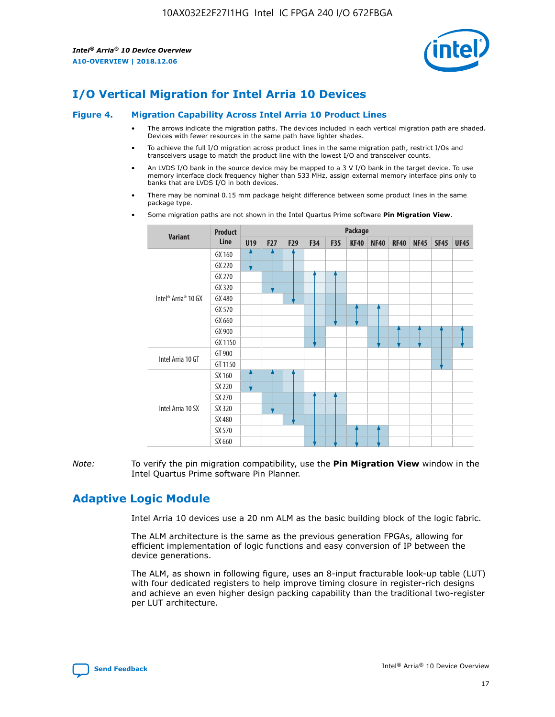

# **I/O Vertical Migration for Intel Arria 10 Devices**

#### **Figure 4. Migration Capability Across Intel Arria 10 Product Lines**

- The arrows indicate the migration paths. The devices included in each vertical migration path are shaded. Devices with fewer resources in the same path have lighter shades.
- To achieve the full I/O migration across product lines in the same migration path, restrict I/Os and transceivers usage to match the product line with the lowest I/O and transceiver counts.
- An LVDS I/O bank in the source device may be mapped to a 3 V I/O bank in the target device. To use memory interface clock frequency higher than 533 MHz, assign external memory interface pins only to banks that are LVDS I/O in both devices.
- There may be nominal 0.15 mm package height difference between some product lines in the same package type.
	- **Variant Product Line Package U19 F27 F29 F34 F35 KF40 NF40 RF40 NF45 SF45 UF45** Intel® Arria® 10 GX GX 160 GX 220 GX 270 GX 320 GX 480 GX 570 GX 660 GX 900 GX 1150 Intel Arria 10 GT GT 900 GT 1150 Intel Arria 10 SX SX 160 SX 220 SX 270 SX 320 SX 480 SX 570 SX 660
- Some migration paths are not shown in the Intel Quartus Prime software **Pin Migration View**.

*Note:* To verify the pin migration compatibility, use the **Pin Migration View** window in the Intel Quartus Prime software Pin Planner.

# **Adaptive Logic Module**

Intel Arria 10 devices use a 20 nm ALM as the basic building block of the logic fabric.

The ALM architecture is the same as the previous generation FPGAs, allowing for efficient implementation of logic functions and easy conversion of IP between the device generations.

The ALM, as shown in following figure, uses an 8-input fracturable look-up table (LUT) with four dedicated registers to help improve timing closure in register-rich designs and achieve an even higher design packing capability than the traditional two-register per LUT architecture.

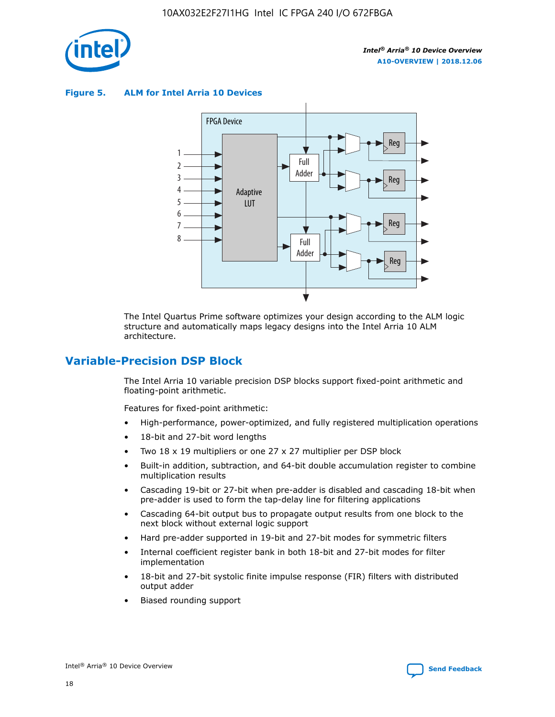

**Figure 5. ALM for Intel Arria 10 Devices**



The Intel Quartus Prime software optimizes your design according to the ALM logic structure and automatically maps legacy designs into the Intel Arria 10 ALM architecture.

# **Variable-Precision DSP Block**

The Intel Arria 10 variable precision DSP blocks support fixed-point arithmetic and floating-point arithmetic.

Features for fixed-point arithmetic:

- High-performance, power-optimized, and fully registered multiplication operations
- 18-bit and 27-bit word lengths
- Two 18 x 19 multipliers or one 27 x 27 multiplier per DSP block
- Built-in addition, subtraction, and 64-bit double accumulation register to combine multiplication results
- Cascading 19-bit or 27-bit when pre-adder is disabled and cascading 18-bit when pre-adder is used to form the tap-delay line for filtering applications
- Cascading 64-bit output bus to propagate output results from one block to the next block without external logic support
- Hard pre-adder supported in 19-bit and 27-bit modes for symmetric filters
- Internal coefficient register bank in both 18-bit and 27-bit modes for filter implementation
- 18-bit and 27-bit systolic finite impulse response (FIR) filters with distributed output adder
- Biased rounding support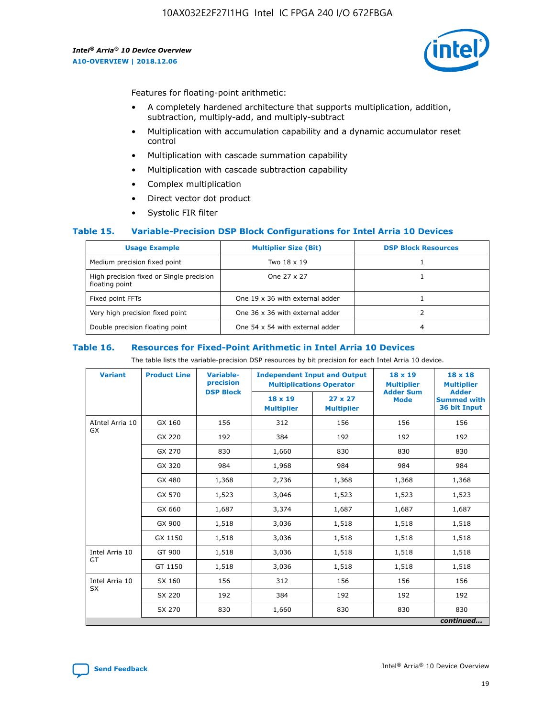

Features for floating-point arithmetic:

- A completely hardened architecture that supports multiplication, addition, subtraction, multiply-add, and multiply-subtract
- Multiplication with accumulation capability and a dynamic accumulator reset control
- Multiplication with cascade summation capability
- Multiplication with cascade subtraction capability
- Complex multiplication
- Direct vector dot product
- Systolic FIR filter

#### **Table 15. Variable-Precision DSP Block Configurations for Intel Arria 10 Devices**

| <b>Usage Example</b>                                       | <b>Multiplier Size (Bit)</b>    | <b>DSP Block Resources</b> |
|------------------------------------------------------------|---------------------------------|----------------------------|
| Medium precision fixed point                               | Two 18 x 19                     |                            |
| High precision fixed or Single precision<br>floating point | One 27 x 27                     |                            |
| Fixed point FFTs                                           | One 19 x 36 with external adder |                            |
| Very high precision fixed point                            | One 36 x 36 with external adder |                            |
| Double precision floating point                            | One 54 x 54 with external adder | 4                          |

#### **Table 16. Resources for Fixed-Point Arithmetic in Intel Arria 10 Devices**

The table lists the variable-precision DSP resources by bit precision for each Intel Arria 10 device.

| <b>Variant</b>  | <b>Product Line</b> | Variable-<br>precision<br><b>DSP Block</b> | <b>Independent Input and Output</b><br><b>Multiplications Operator</b> |                                     | 18 x 19<br><b>Multiplier</b><br><b>Adder Sum</b> | $18 \times 18$<br><b>Multiplier</b><br><b>Adder</b> |
|-----------------|---------------------|--------------------------------------------|------------------------------------------------------------------------|-------------------------------------|--------------------------------------------------|-----------------------------------------------------|
|                 |                     |                                            | 18 x 19<br><b>Multiplier</b>                                           | $27 \times 27$<br><b>Multiplier</b> | <b>Mode</b>                                      | <b>Summed with</b><br>36 bit Input                  |
| AIntel Arria 10 | GX 160              | 156                                        | 312                                                                    | 156                                 | 156                                              | 156                                                 |
| GX              | GX 220              | 192                                        | 384                                                                    | 192                                 | 192                                              | 192                                                 |
|                 | GX 270              | 830                                        | 1,660                                                                  | 830                                 | 830                                              | 830                                                 |
|                 | GX 320              | 984                                        | 1,968                                                                  | 984                                 | 984                                              | 984                                                 |
|                 | GX 480              | 1,368                                      | 2,736                                                                  | 1,368                               | 1,368                                            | 1,368                                               |
|                 | GX 570              | 1,523                                      | 3,046                                                                  | 1,523                               | 1,523                                            | 1,523                                               |
|                 | GX 660              | 1,687                                      | 3,374                                                                  | 1,687                               | 1,687                                            | 1,687                                               |
|                 | GX 900              | 1,518                                      | 3,036                                                                  | 1,518                               | 1,518                                            | 1,518                                               |
|                 | GX 1150             | 1,518                                      | 3,036                                                                  | 1,518                               | 1,518                                            | 1,518                                               |
| Intel Arria 10  | GT 900              | 1,518                                      | 3,036                                                                  | 1,518                               | 1,518                                            | 1,518                                               |
| GT              | GT 1150             | 1,518                                      | 3,036                                                                  | 1,518                               | 1,518                                            | 1,518                                               |
| Intel Arria 10  | SX 160              | 156                                        | 312                                                                    | 156                                 | 156                                              | 156                                                 |
| <b>SX</b>       | SX 220              | 192                                        | 384                                                                    | 192                                 | 192                                              | 192                                                 |
|                 | SX 270              | 830                                        | 1,660                                                                  | 830                                 | 830                                              | 830                                                 |
|                 |                     |                                            |                                                                        |                                     |                                                  | continued                                           |

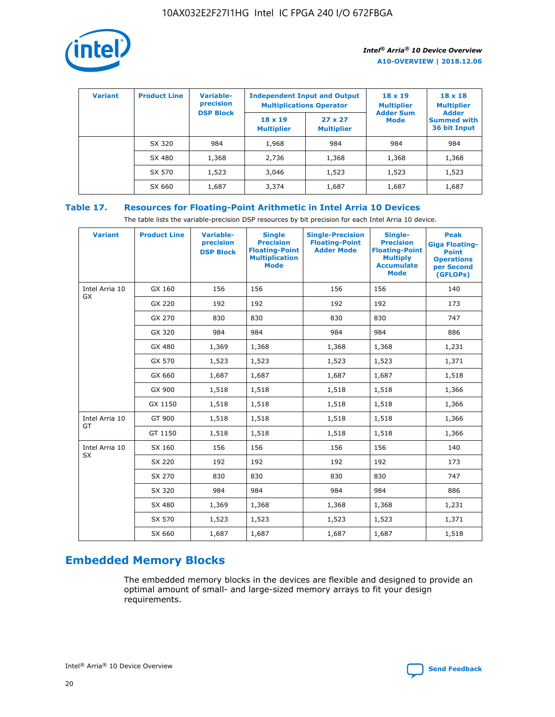

| <b>Variant</b> | <b>Product Line</b> | Variable-<br>precision | <b>Independent Input and Output</b><br><b>Multiplications Operator</b> |                                     | $18 \times 19$<br><b>Multiplier</b> | $18 \times 18$<br><b>Multiplier</b><br><b>Adder</b> |  |
|----------------|---------------------|------------------------|------------------------------------------------------------------------|-------------------------------------|-------------------------------------|-----------------------------------------------------|--|
|                |                     | <b>DSP Block</b>       | $18 \times 19$<br><b>Multiplier</b>                                    | $27 \times 27$<br><b>Multiplier</b> | <b>Adder Sum</b><br><b>Mode</b>     | <b>Summed with</b><br>36 bit Input                  |  |
|                | SX 320              | 984                    | 1,968                                                                  | 984                                 | 984                                 | 984                                                 |  |
|                | SX 480              | 1,368                  | 2,736                                                                  | 1,368                               | 1,368                               | 1,368                                               |  |
|                | SX 570              | 1,523                  | 3,046                                                                  | 1,523                               | 1,523                               | 1,523                                               |  |
|                | SX 660              | 1,687                  | 3,374                                                                  | 1,687                               | 1,687                               | 1,687                                               |  |

# **Table 17. Resources for Floating-Point Arithmetic in Intel Arria 10 Devices**

The table lists the variable-precision DSP resources by bit precision for each Intel Arria 10 device.

| <b>Variant</b>              | <b>Product Line</b> | <b>Variable-</b><br>precision<br><b>DSP Block</b> | <b>Single</b><br><b>Precision</b><br><b>Floating-Point</b><br><b>Multiplication</b><br><b>Mode</b> | <b>Single-Precision</b><br><b>Floating-Point</b><br><b>Adder Mode</b> | Single-<br><b>Precision</b><br><b>Floating-Point</b><br><b>Multiply</b><br><b>Accumulate</b><br><b>Mode</b> | <b>Peak</b><br><b>Giga Floating-</b><br><b>Point</b><br><b>Operations</b><br>per Second<br>(GFLOPs) |
|-----------------------------|---------------------|---------------------------------------------------|----------------------------------------------------------------------------------------------------|-----------------------------------------------------------------------|-------------------------------------------------------------------------------------------------------------|-----------------------------------------------------------------------------------------------------|
| Intel Arria 10<br><b>GX</b> | GX 160              | 156                                               | 156                                                                                                | 156                                                                   | 156                                                                                                         | 140                                                                                                 |
|                             | GX 220              | 192                                               | 192                                                                                                | 192                                                                   | 192                                                                                                         | 173                                                                                                 |
|                             | GX 270              | 830                                               | 830                                                                                                | 830                                                                   | 830                                                                                                         | 747                                                                                                 |
|                             | GX 320              | 984                                               | 984                                                                                                | 984                                                                   | 984                                                                                                         | 886                                                                                                 |
|                             | GX 480              | 1,369                                             | 1,368                                                                                              | 1,368                                                                 | 1,368                                                                                                       | 1,231                                                                                               |
|                             | GX 570              | 1,523                                             | 1,523                                                                                              | 1,523                                                                 | 1,523                                                                                                       | 1,371                                                                                               |
|                             | GX 660              | 1,687                                             | 1,687                                                                                              | 1,687                                                                 | 1,687                                                                                                       | 1,518                                                                                               |
|                             | GX 900              | 1,518                                             | 1,518                                                                                              | 1,518                                                                 | 1,518                                                                                                       | 1,366                                                                                               |
|                             | GX 1150             | 1,518                                             | 1,518                                                                                              | 1,518                                                                 | 1,518                                                                                                       | 1,366                                                                                               |
| Intel Arria 10              | GT 900              | 1,518                                             | 1,518                                                                                              | 1,518                                                                 | 1,518                                                                                                       | 1,366                                                                                               |
| GT                          | GT 1150             | 1,518                                             | 1,518                                                                                              | 1,518                                                                 | 1,518                                                                                                       | 1,366                                                                                               |
| Intel Arria 10              | SX 160              | 156                                               | 156                                                                                                | 156                                                                   | 156                                                                                                         | 140                                                                                                 |
| <b>SX</b>                   | SX 220              | 192                                               | 192                                                                                                | 192                                                                   | 192                                                                                                         | 173                                                                                                 |
|                             | SX 270              | 830                                               | 830                                                                                                | 830                                                                   | 830                                                                                                         | 747                                                                                                 |
|                             | SX 320              | 984                                               | 984                                                                                                | 984                                                                   | 984                                                                                                         | 886                                                                                                 |
|                             | SX 480              | 1,369                                             | 1,368                                                                                              | 1,368                                                                 | 1,368                                                                                                       | 1,231                                                                                               |
|                             | SX 570              | 1,523                                             | 1,523                                                                                              | 1,523                                                                 | 1,523                                                                                                       | 1,371                                                                                               |
|                             | SX 660              | 1,687                                             | 1,687                                                                                              | 1,687                                                                 | 1,687                                                                                                       | 1,518                                                                                               |

# **Embedded Memory Blocks**

The embedded memory blocks in the devices are flexible and designed to provide an optimal amount of small- and large-sized memory arrays to fit your design requirements.

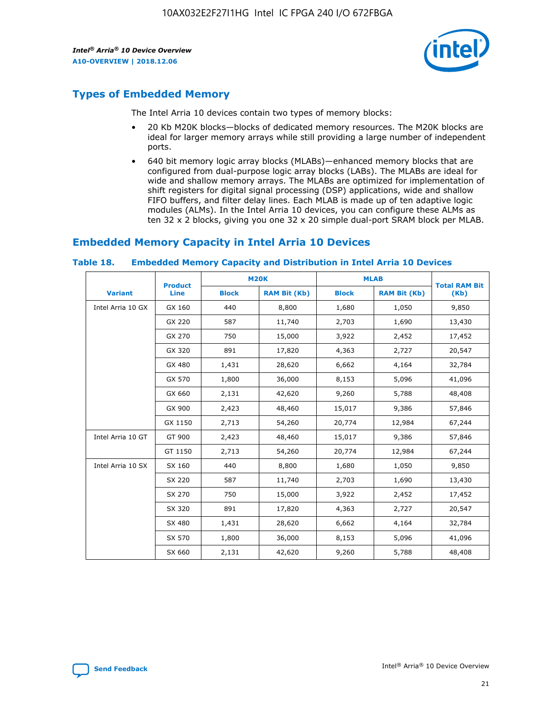

# **Types of Embedded Memory**

The Intel Arria 10 devices contain two types of memory blocks:

- 20 Kb M20K blocks—blocks of dedicated memory resources. The M20K blocks are ideal for larger memory arrays while still providing a large number of independent ports.
- 640 bit memory logic array blocks (MLABs)—enhanced memory blocks that are configured from dual-purpose logic array blocks (LABs). The MLABs are ideal for wide and shallow memory arrays. The MLABs are optimized for implementation of shift registers for digital signal processing (DSP) applications, wide and shallow FIFO buffers, and filter delay lines. Each MLAB is made up of ten adaptive logic modules (ALMs). In the Intel Arria 10 devices, you can configure these ALMs as ten 32 x 2 blocks, giving you one 32 x 20 simple dual-port SRAM block per MLAB.

# **Embedded Memory Capacity in Intel Arria 10 Devices**

|                   | <b>Product</b> |              | <b>M20K</b>         | <b>MLAB</b>  |                     | <b>Total RAM Bit</b> |
|-------------------|----------------|--------------|---------------------|--------------|---------------------|----------------------|
| <b>Variant</b>    | <b>Line</b>    | <b>Block</b> | <b>RAM Bit (Kb)</b> | <b>Block</b> | <b>RAM Bit (Kb)</b> | (Kb)                 |
| Intel Arria 10 GX | GX 160         | 440          | 8,800               | 1,680        | 1,050               | 9,850                |
|                   | GX 220         | 587          | 11,740              | 2,703        | 1,690               | 13,430               |
|                   | GX 270         | 750          | 15,000              | 3,922        | 2,452               | 17,452               |
|                   | GX 320         | 891          | 17,820              | 4,363        | 2,727               | 20,547               |
|                   | GX 480         | 1,431        | 28,620              | 6,662        | 4,164               | 32,784               |
|                   | GX 570         | 1,800        | 36,000              | 8,153        | 5,096               | 41,096               |
|                   | GX 660         | 2,131        | 42,620              | 9,260        | 5,788               | 48,408               |
|                   | GX 900         | 2,423        | 48,460              | 15,017       | 9,386               | 57,846               |
|                   | GX 1150        | 2,713        | 54,260              | 20,774       | 12,984              | 67,244               |
| Intel Arria 10 GT | GT 900         | 2,423        | 48,460              | 15,017       | 9,386               | 57,846               |
|                   | GT 1150        | 2,713        | 54,260              | 20,774       | 12,984              | 67,244               |
| Intel Arria 10 SX | SX 160         | 440          | 8,800               | 1,680        | 1,050               | 9,850                |
|                   | SX 220         | 587          | 11,740              | 2,703        | 1,690               | 13,430               |
|                   | SX 270         | 750          | 15,000              | 3,922        | 2,452               | 17,452               |
|                   | SX 320         | 891          | 17,820              | 4,363        | 2,727               | 20,547               |
|                   | SX 480         | 1,431        | 28,620              | 6,662        | 4,164               | 32,784               |
|                   | SX 570         | 1,800        | 36,000              | 8,153        | 5,096               | 41,096               |
|                   | SX 660         | 2,131        | 42,620              | 9,260        | 5,788               | 48,408               |

#### **Table 18. Embedded Memory Capacity and Distribution in Intel Arria 10 Devices**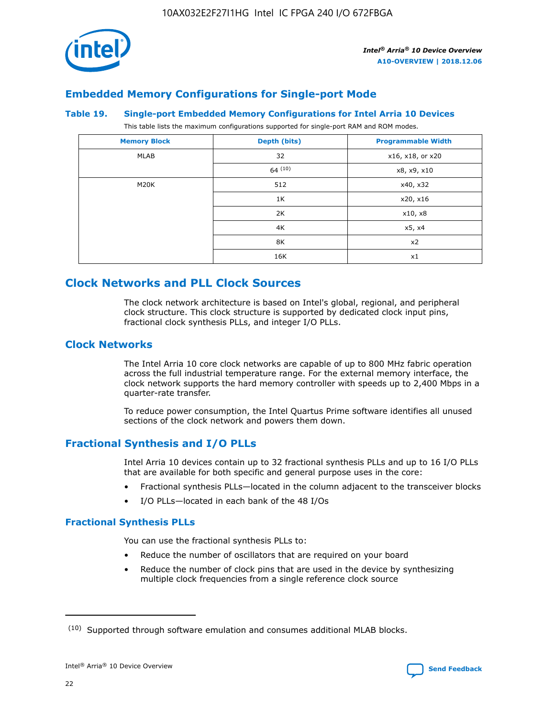

# **Embedded Memory Configurations for Single-port Mode**

#### **Table 19. Single-port Embedded Memory Configurations for Intel Arria 10 Devices**

This table lists the maximum configurations supported for single-port RAM and ROM modes.

| <b>Memory Block</b> | Depth (bits) | <b>Programmable Width</b> |
|---------------------|--------------|---------------------------|
| MLAB                | 32           | x16, x18, or x20          |
|                     | 64(10)       | x8, x9, x10               |
| M20K                | 512          | x40, x32                  |
|                     | 1K           | x20, x16                  |
|                     | 2K           | x10, x8                   |
|                     | 4K           | x5, x4                    |
|                     | 8K           | x2                        |
|                     | 16K          | x1                        |

# **Clock Networks and PLL Clock Sources**

The clock network architecture is based on Intel's global, regional, and peripheral clock structure. This clock structure is supported by dedicated clock input pins, fractional clock synthesis PLLs, and integer I/O PLLs.

## **Clock Networks**

The Intel Arria 10 core clock networks are capable of up to 800 MHz fabric operation across the full industrial temperature range. For the external memory interface, the clock network supports the hard memory controller with speeds up to 2,400 Mbps in a quarter-rate transfer.

To reduce power consumption, the Intel Quartus Prime software identifies all unused sections of the clock network and powers them down.

# **Fractional Synthesis and I/O PLLs**

Intel Arria 10 devices contain up to 32 fractional synthesis PLLs and up to 16 I/O PLLs that are available for both specific and general purpose uses in the core:

- Fractional synthesis PLLs—located in the column adjacent to the transceiver blocks
- I/O PLLs—located in each bank of the 48 I/Os

#### **Fractional Synthesis PLLs**

You can use the fractional synthesis PLLs to:

- Reduce the number of oscillators that are required on your board
- Reduce the number of clock pins that are used in the device by synthesizing multiple clock frequencies from a single reference clock source

<sup>(10)</sup> Supported through software emulation and consumes additional MLAB blocks.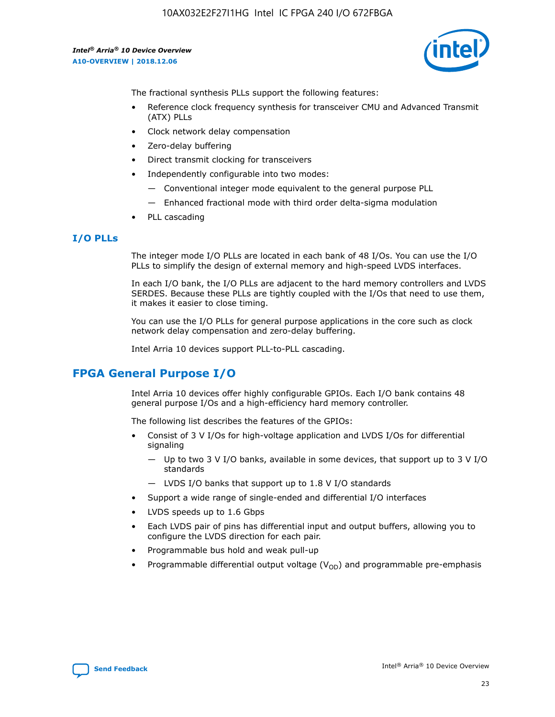

The fractional synthesis PLLs support the following features:

- Reference clock frequency synthesis for transceiver CMU and Advanced Transmit (ATX) PLLs
- Clock network delay compensation
- Zero-delay buffering
- Direct transmit clocking for transceivers
- Independently configurable into two modes:
	- Conventional integer mode equivalent to the general purpose PLL
	- Enhanced fractional mode with third order delta-sigma modulation
- PLL cascading

## **I/O PLLs**

The integer mode I/O PLLs are located in each bank of 48 I/Os. You can use the I/O PLLs to simplify the design of external memory and high-speed LVDS interfaces.

In each I/O bank, the I/O PLLs are adjacent to the hard memory controllers and LVDS SERDES. Because these PLLs are tightly coupled with the I/Os that need to use them, it makes it easier to close timing.

You can use the I/O PLLs for general purpose applications in the core such as clock network delay compensation and zero-delay buffering.

Intel Arria 10 devices support PLL-to-PLL cascading.

# **FPGA General Purpose I/O**

Intel Arria 10 devices offer highly configurable GPIOs. Each I/O bank contains 48 general purpose I/Os and a high-efficiency hard memory controller.

The following list describes the features of the GPIOs:

- Consist of 3 V I/Os for high-voltage application and LVDS I/Os for differential signaling
	- Up to two 3 V I/O banks, available in some devices, that support up to 3 V I/O standards
	- LVDS I/O banks that support up to 1.8 V I/O standards
- Support a wide range of single-ended and differential I/O interfaces
- LVDS speeds up to 1.6 Gbps
- Each LVDS pair of pins has differential input and output buffers, allowing you to configure the LVDS direction for each pair.
- Programmable bus hold and weak pull-up
- Programmable differential output voltage  $(V_{OD})$  and programmable pre-emphasis

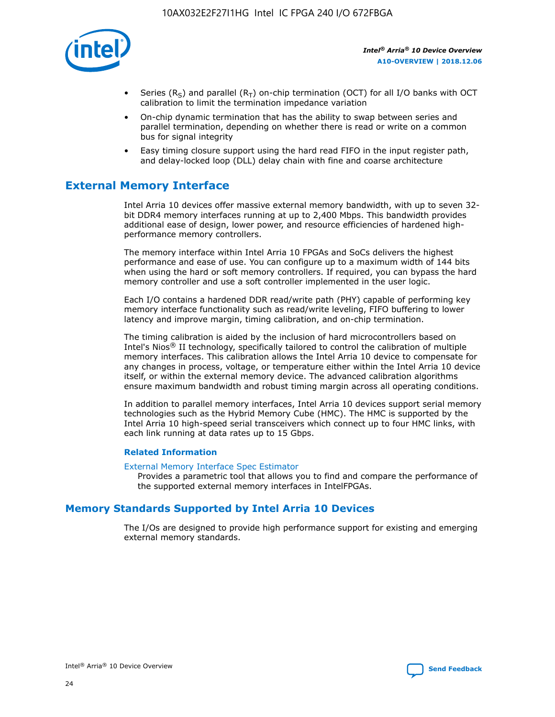

- Series (R<sub>S</sub>) and parallel (R<sub>T</sub>) on-chip termination (OCT) for all I/O banks with OCT calibration to limit the termination impedance variation
- On-chip dynamic termination that has the ability to swap between series and parallel termination, depending on whether there is read or write on a common bus for signal integrity
- Easy timing closure support using the hard read FIFO in the input register path, and delay-locked loop (DLL) delay chain with fine and coarse architecture

# **External Memory Interface**

Intel Arria 10 devices offer massive external memory bandwidth, with up to seven 32 bit DDR4 memory interfaces running at up to 2,400 Mbps. This bandwidth provides additional ease of design, lower power, and resource efficiencies of hardened highperformance memory controllers.

The memory interface within Intel Arria 10 FPGAs and SoCs delivers the highest performance and ease of use. You can configure up to a maximum width of 144 bits when using the hard or soft memory controllers. If required, you can bypass the hard memory controller and use a soft controller implemented in the user logic.

Each I/O contains a hardened DDR read/write path (PHY) capable of performing key memory interface functionality such as read/write leveling, FIFO buffering to lower latency and improve margin, timing calibration, and on-chip termination.

The timing calibration is aided by the inclusion of hard microcontrollers based on Intel's Nios® II technology, specifically tailored to control the calibration of multiple memory interfaces. This calibration allows the Intel Arria 10 device to compensate for any changes in process, voltage, or temperature either within the Intel Arria 10 device itself, or within the external memory device. The advanced calibration algorithms ensure maximum bandwidth and robust timing margin across all operating conditions.

In addition to parallel memory interfaces, Intel Arria 10 devices support serial memory technologies such as the Hybrid Memory Cube (HMC). The HMC is supported by the Intel Arria 10 high-speed serial transceivers which connect up to four HMC links, with each link running at data rates up to 15 Gbps.

#### **Related Information**

#### [External Memory Interface Spec Estimator](http://www.altera.com/technology/memory/estimator/mem-emif-index.html)

Provides a parametric tool that allows you to find and compare the performance of the supported external memory interfaces in IntelFPGAs.

# **Memory Standards Supported by Intel Arria 10 Devices**

The I/Os are designed to provide high performance support for existing and emerging external memory standards.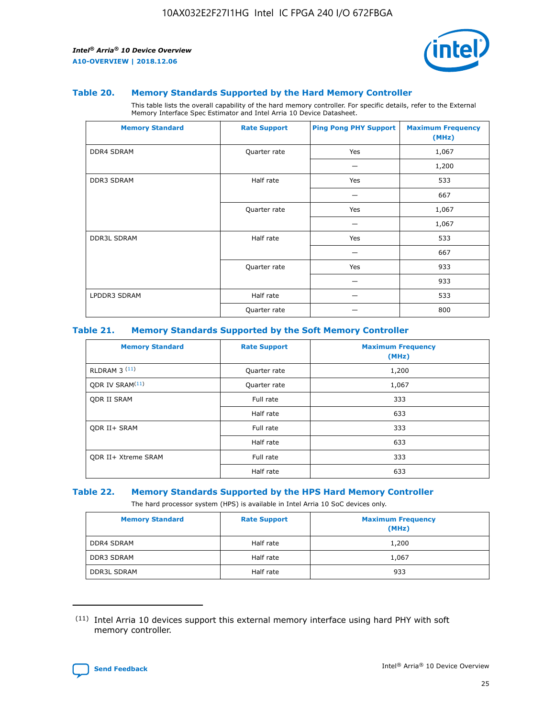

#### **Table 20. Memory Standards Supported by the Hard Memory Controller**

This table lists the overall capability of the hard memory controller. For specific details, refer to the External Memory Interface Spec Estimator and Intel Arria 10 Device Datasheet.

| <b>Memory Standard</b> | <b>Rate Support</b> | <b>Ping Pong PHY Support</b> | <b>Maximum Frequency</b><br>(MHz) |
|------------------------|---------------------|------------------------------|-----------------------------------|
| <b>DDR4 SDRAM</b>      | Quarter rate        | Yes                          | 1,067                             |
|                        |                     |                              | 1,200                             |
| DDR3 SDRAM             | Half rate           | Yes                          | 533                               |
|                        |                     |                              | 667                               |
|                        | Quarter rate        | Yes                          | 1,067                             |
|                        |                     |                              | 1,067                             |
| <b>DDR3L SDRAM</b>     | Half rate           | Yes                          | 533                               |
|                        |                     |                              | 667                               |
|                        | Quarter rate        | Yes                          | 933                               |
|                        |                     |                              | 933                               |
| LPDDR3 SDRAM           | Half rate           |                              | 533                               |
|                        | Quarter rate        |                              | 800                               |

#### **Table 21. Memory Standards Supported by the Soft Memory Controller**

| <b>Memory Standard</b>      | <b>Rate Support</b> | <b>Maximum Frequency</b><br>(MHz) |
|-----------------------------|---------------------|-----------------------------------|
| <b>RLDRAM 3 (11)</b>        | Quarter rate        | 1,200                             |
| ODR IV SRAM <sup>(11)</sup> | Quarter rate        | 1,067                             |
| <b>ODR II SRAM</b>          | Full rate           | 333                               |
|                             | Half rate           | 633                               |
| <b>ODR II+ SRAM</b>         | Full rate           | 333                               |
|                             | Half rate           | 633                               |
| <b>ODR II+ Xtreme SRAM</b>  | Full rate           | 333                               |
|                             | Half rate           | 633                               |

#### **Table 22. Memory Standards Supported by the HPS Hard Memory Controller**

The hard processor system (HPS) is available in Intel Arria 10 SoC devices only.

| <b>Memory Standard</b> | <b>Rate Support</b> | <b>Maximum Frequency</b><br>(MHz) |
|------------------------|---------------------|-----------------------------------|
| DDR4 SDRAM             | Half rate           | 1,200                             |
| <b>DDR3 SDRAM</b>      | Half rate           | 1,067                             |
| <b>DDR3L SDRAM</b>     | Half rate           | 933                               |

<sup>(11)</sup> Intel Arria 10 devices support this external memory interface using hard PHY with soft memory controller.

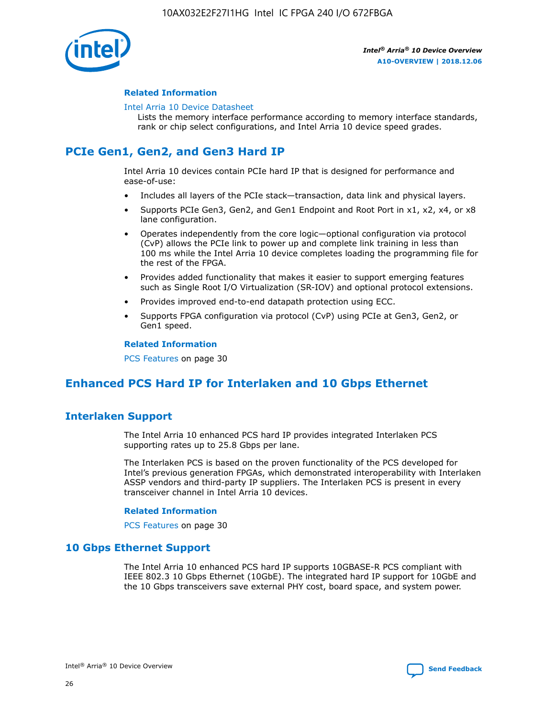

#### **Related Information**

#### [Intel Arria 10 Device Datasheet](https://www.intel.com/content/www/us/en/programmable/documentation/mcn1413182292568.html#mcn1413182153340)

Lists the memory interface performance according to memory interface standards, rank or chip select configurations, and Intel Arria 10 device speed grades.

# **PCIe Gen1, Gen2, and Gen3 Hard IP**

Intel Arria 10 devices contain PCIe hard IP that is designed for performance and ease-of-use:

- Includes all layers of the PCIe stack—transaction, data link and physical layers.
- Supports PCIe Gen3, Gen2, and Gen1 Endpoint and Root Port in x1, x2, x4, or x8 lane configuration.
- Operates independently from the core logic—optional configuration via protocol (CvP) allows the PCIe link to power up and complete link training in less than 100 ms while the Intel Arria 10 device completes loading the programming file for the rest of the FPGA.
- Provides added functionality that makes it easier to support emerging features such as Single Root I/O Virtualization (SR-IOV) and optional protocol extensions.
- Provides improved end-to-end datapath protection using ECC.
- Supports FPGA configuration via protocol (CvP) using PCIe at Gen3, Gen2, or Gen1 speed.

#### **Related Information**

PCS Features on page 30

# **Enhanced PCS Hard IP for Interlaken and 10 Gbps Ethernet**

# **Interlaken Support**

The Intel Arria 10 enhanced PCS hard IP provides integrated Interlaken PCS supporting rates up to 25.8 Gbps per lane.

The Interlaken PCS is based on the proven functionality of the PCS developed for Intel's previous generation FPGAs, which demonstrated interoperability with Interlaken ASSP vendors and third-party IP suppliers. The Interlaken PCS is present in every transceiver channel in Intel Arria 10 devices.

#### **Related Information**

PCS Features on page 30

## **10 Gbps Ethernet Support**

The Intel Arria 10 enhanced PCS hard IP supports 10GBASE-R PCS compliant with IEEE 802.3 10 Gbps Ethernet (10GbE). The integrated hard IP support for 10GbE and the 10 Gbps transceivers save external PHY cost, board space, and system power.

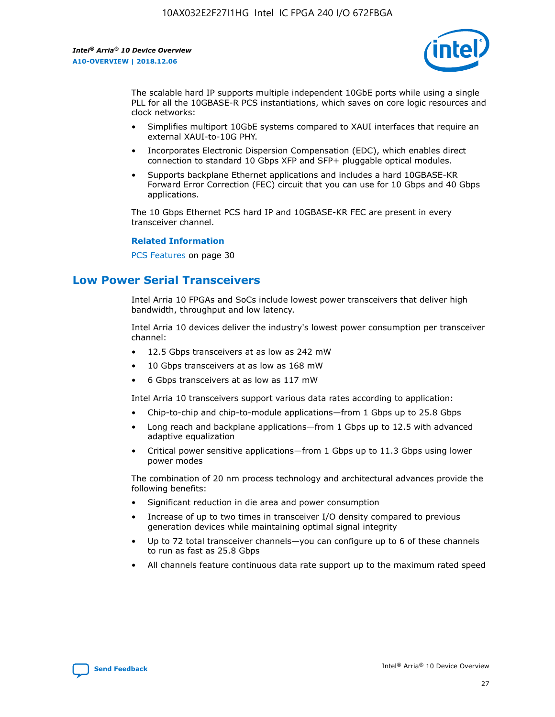

The scalable hard IP supports multiple independent 10GbE ports while using a single PLL for all the 10GBASE-R PCS instantiations, which saves on core logic resources and clock networks:

- Simplifies multiport 10GbE systems compared to XAUI interfaces that require an external XAUI-to-10G PHY.
- Incorporates Electronic Dispersion Compensation (EDC), which enables direct connection to standard 10 Gbps XFP and SFP+ pluggable optical modules.
- Supports backplane Ethernet applications and includes a hard 10GBASE-KR Forward Error Correction (FEC) circuit that you can use for 10 Gbps and 40 Gbps applications.

The 10 Gbps Ethernet PCS hard IP and 10GBASE-KR FEC are present in every transceiver channel.

#### **Related Information**

PCS Features on page 30

# **Low Power Serial Transceivers**

Intel Arria 10 FPGAs and SoCs include lowest power transceivers that deliver high bandwidth, throughput and low latency.

Intel Arria 10 devices deliver the industry's lowest power consumption per transceiver channel:

- 12.5 Gbps transceivers at as low as 242 mW
- 10 Gbps transceivers at as low as 168 mW
- 6 Gbps transceivers at as low as 117 mW

Intel Arria 10 transceivers support various data rates according to application:

- Chip-to-chip and chip-to-module applications—from 1 Gbps up to 25.8 Gbps
- Long reach and backplane applications—from 1 Gbps up to 12.5 with advanced adaptive equalization
- Critical power sensitive applications—from 1 Gbps up to 11.3 Gbps using lower power modes

The combination of 20 nm process technology and architectural advances provide the following benefits:

- Significant reduction in die area and power consumption
- Increase of up to two times in transceiver I/O density compared to previous generation devices while maintaining optimal signal integrity
- Up to 72 total transceiver channels—you can configure up to 6 of these channels to run as fast as 25.8 Gbps
- All channels feature continuous data rate support up to the maximum rated speed

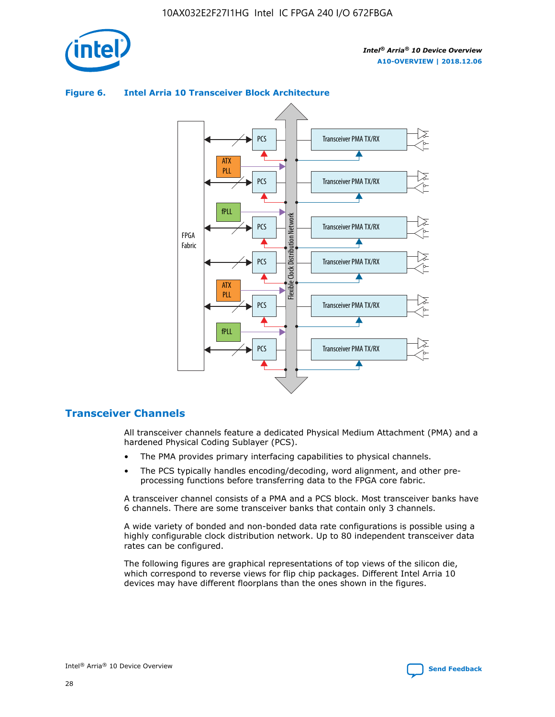



## **Figure 6. Intel Arria 10 Transceiver Block Architecture**

# **Transceiver Channels**

All transceiver channels feature a dedicated Physical Medium Attachment (PMA) and a hardened Physical Coding Sublayer (PCS).

- The PMA provides primary interfacing capabilities to physical channels.
- The PCS typically handles encoding/decoding, word alignment, and other preprocessing functions before transferring data to the FPGA core fabric.

A transceiver channel consists of a PMA and a PCS block. Most transceiver banks have 6 channels. There are some transceiver banks that contain only 3 channels.

A wide variety of bonded and non-bonded data rate configurations is possible using a highly configurable clock distribution network. Up to 80 independent transceiver data rates can be configured.

The following figures are graphical representations of top views of the silicon die, which correspond to reverse views for flip chip packages. Different Intel Arria 10 devices may have different floorplans than the ones shown in the figures.

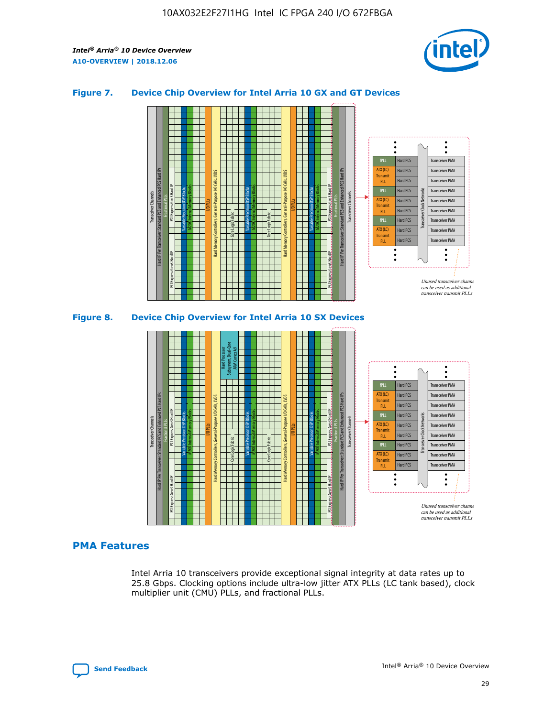

## **Figure 7. Device Chip Overview for Intel Arria 10 GX and GT Devices**





Intel Arria 10 transceivers provide exceptional signal integrity at data rates up to 25.8 Gbps. Clocking options include ultra-low jitter ATX PLLs (LC tank based), clock multiplier unit (CMU) PLLs, and fractional PLLs.

Hard PCS Hard PCS Hard PCS Hard PCS Hard PCS Hard PCS Hard PCS

**Transmit** PLL fPLL ATX (LC) Transmi PLL fPLL ATX (LC) **Transmit** PLL

Transceiver PMA Transceiver PMA Transceiver PMA Transceiver PMA Transceiver PMA

Transceiver PMA Transceiver PMA

Transceiver Clock Networks

Unused transceiver chann can be used as additional transceiver transmit PLLs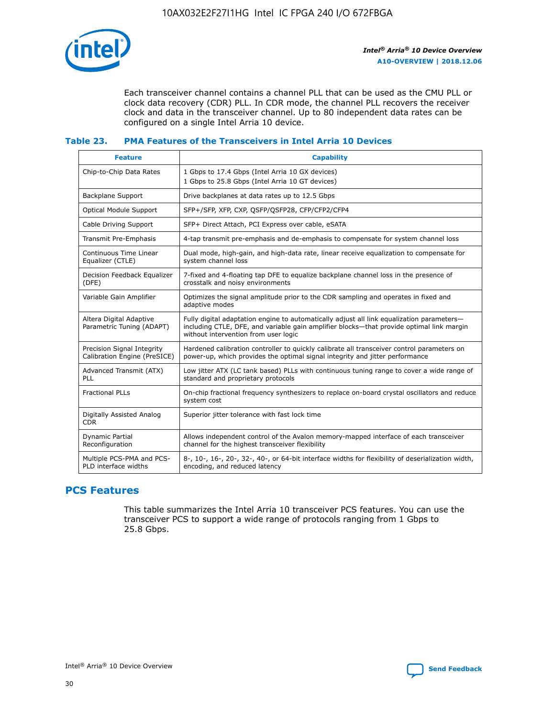

Each transceiver channel contains a channel PLL that can be used as the CMU PLL or clock data recovery (CDR) PLL. In CDR mode, the channel PLL recovers the receiver clock and data in the transceiver channel. Up to 80 independent data rates can be configured on a single Intel Arria 10 device.

## **Table 23. PMA Features of the Transceivers in Intel Arria 10 Devices**

| <b>Feature</b>                                             | <b>Capability</b>                                                                                                                                                                                                             |
|------------------------------------------------------------|-------------------------------------------------------------------------------------------------------------------------------------------------------------------------------------------------------------------------------|
| Chip-to-Chip Data Rates                                    | 1 Gbps to 17.4 Gbps (Intel Arria 10 GX devices)<br>1 Gbps to 25.8 Gbps (Intel Arria 10 GT devices)                                                                                                                            |
| <b>Backplane Support</b>                                   | Drive backplanes at data rates up to 12.5 Gbps                                                                                                                                                                                |
| <b>Optical Module Support</b>                              | SFP+/SFP, XFP, CXP, QSFP/QSFP28, CFP/CFP2/CFP4                                                                                                                                                                                |
| Cable Driving Support                                      | SFP+ Direct Attach, PCI Express over cable, eSATA                                                                                                                                                                             |
| Transmit Pre-Emphasis                                      | 4-tap transmit pre-emphasis and de-emphasis to compensate for system channel loss                                                                                                                                             |
| Continuous Time Linear<br>Equalizer (CTLE)                 | Dual mode, high-gain, and high-data rate, linear receive equalization to compensate for<br>system channel loss                                                                                                                |
| Decision Feedback Equalizer<br>(DFE)                       | 7-fixed and 4-floating tap DFE to equalize backplane channel loss in the presence of<br>crosstalk and noisy environments                                                                                                      |
| Variable Gain Amplifier                                    | Optimizes the signal amplitude prior to the CDR sampling and operates in fixed and<br>adaptive modes                                                                                                                          |
| Altera Digital Adaptive<br>Parametric Tuning (ADAPT)       | Fully digital adaptation engine to automatically adjust all link equalization parameters-<br>including CTLE, DFE, and variable gain amplifier blocks—that provide optimal link margin<br>without intervention from user logic |
| Precision Signal Integrity<br>Calibration Engine (PreSICE) | Hardened calibration controller to quickly calibrate all transceiver control parameters on<br>power-up, which provides the optimal signal integrity and jitter performance                                                    |
| Advanced Transmit (ATX)<br>PLL                             | Low jitter ATX (LC tank based) PLLs with continuous tuning range to cover a wide range of<br>standard and proprietary protocols                                                                                               |
| <b>Fractional PLLs</b>                                     | On-chip fractional frequency synthesizers to replace on-board crystal oscillators and reduce<br>system cost                                                                                                                   |
| Digitally Assisted Analog<br><b>CDR</b>                    | Superior jitter tolerance with fast lock time                                                                                                                                                                                 |
| Dynamic Partial<br>Reconfiguration                         | Allows independent control of the Avalon memory-mapped interface of each transceiver<br>channel for the highest transceiver flexibility                                                                                       |
| Multiple PCS-PMA and PCS-<br>PLD interface widths          | 8-, 10-, 16-, 20-, 32-, 40-, or 64-bit interface widths for flexibility of deserialization width,<br>encoding, and reduced latency                                                                                            |

# **PCS Features**

This table summarizes the Intel Arria 10 transceiver PCS features. You can use the transceiver PCS to support a wide range of protocols ranging from 1 Gbps to 25.8 Gbps.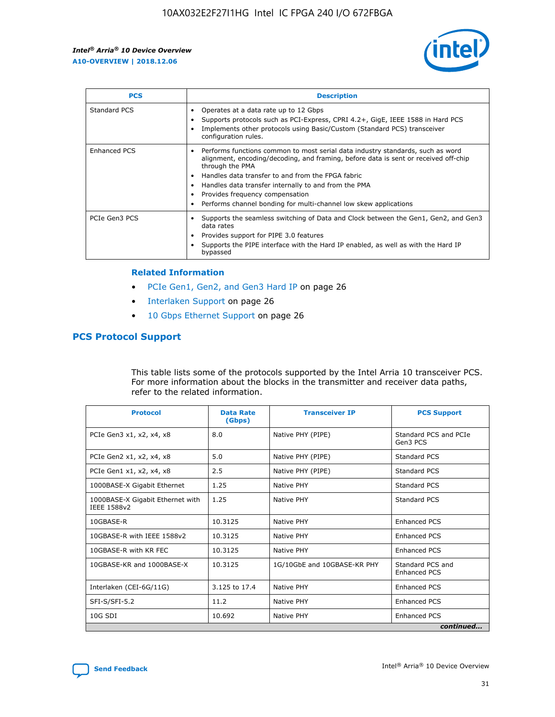

| <b>PCS</b>          | <b>Description</b>                                                                                                                                                                                                                                                                                                                                                                                             |
|---------------------|----------------------------------------------------------------------------------------------------------------------------------------------------------------------------------------------------------------------------------------------------------------------------------------------------------------------------------------------------------------------------------------------------------------|
| Standard PCS        | Operates at a data rate up to 12 Gbps<br>Supports protocols such as PCI-Express, CPRI 4.2+, GigE, IEEE 1588 in Hard PCS<br>Implements other protocols using Basic/Custom (Standard PCS) transceiver<br>configuration rules.                                                                                                                                                                                    |
| <b>Enhanced PCS</b> | Performs functions common to most serial data industry standards, such as word<br>alignment, encoding/decoding, and framing, before data is sent or received off-chip<br>through the PMA<br>• Handles data transfer to and from the FPGA fabric<br>Handles data transfer internally to and from the PMA<br>Provides frequency compensation<br>Performs channel bonding for multi-channel low skew applications |
| PCIe Gen3 PCS       | Supports the seamless switching of Data and Clock between the Gen1, Gen2, and Gen3<br>data rates<br>Provides support for PIPE 3.0 features<br>Supports the PIPE interface with the Hard IP enabled, as well as with the Hard IP<br>bypassed                                                                                                                                                                    |

#### **Related Information**

- PCIe Gen1, Gen2, and Gen3 Hard IP on page 26
- Interlaken Support on page 26
- 10 Gbps Ethernet Support on page 26

# **PCS Protocol Support**

This table lists some of the protocols supported by the Intel Arria 10 transceiver PCS. For more information about the blocks in the transmitter and receiver data paths, refer to the related information.

| <b>Protocol</b>                                 | <b>Data Rate</b><br>(Gbps) | <b>Transceiver IP</b>       | <b>PCS Support</b>                      |
|-------------------------------------------------|----------------------------|-----------------------------|-----------------------------------------|
| PCIe Gen3 x1, x2, x4, x8                        | 8.0                        | Native PHY (PIPE)           | Standard PCS and PCIe<br>Gen3 PCS       |
| PCIe Gen2 x1, x2, x4, x8                        | 5.0                        | Native PHY (PIPE)           | <b>Standard PCS</b>                     |
| PCIe Gen1 x1, x2, x4, x8                        | 2.5                        | Native PHY (PIPE)           | Standard PCS                            |
| 1000BASE-X Gigabit Ethernet                     | 1.25                       | Native PHY                  | <b>Standard PCS</b>                     |
| 1000BASE-X Gigabit Ethernet with<br>IEEE 1588v2 | 1.25                       | Native PHY                  | Standard PCS                            |
| 10GBASE-R                                       | 10.3125                    | Native PHY                  | <b>Enhanced PCS</b>                     |
| 10GBASE-R with IEEE 1588v2                      | 10.3125                    | Native PHY                  | <b>Enhanced PCS</b>                     |
| 10GBASE-R with KR FEC                           | 10.3125                    | Native PHY                  | <b>Enhanced PCS</b>                     |
| 10GBASE-KR and 1000BASE-X                       | 10.3125                    | 1G/10GbE and 10GBASE-KR PHY | Standard PCS and<br><b>Enhanced PCS</b> |
| Interlaken (CEI-6G/11G)                         | 3.125 to 17.4              | Native PHY                  | <b>Enhanced PCS</b>                     |
| SFI-S/SFI-5.2                                   | 11.2                       | Native PHY                  | <b>Enhanced PCS</b>                     |
| $10G$ SDI                                       | 10.692                     | Native PHY                  | <b>Enhanced PCS</b>                     |
|                                                 |                            |                             | continued                               |

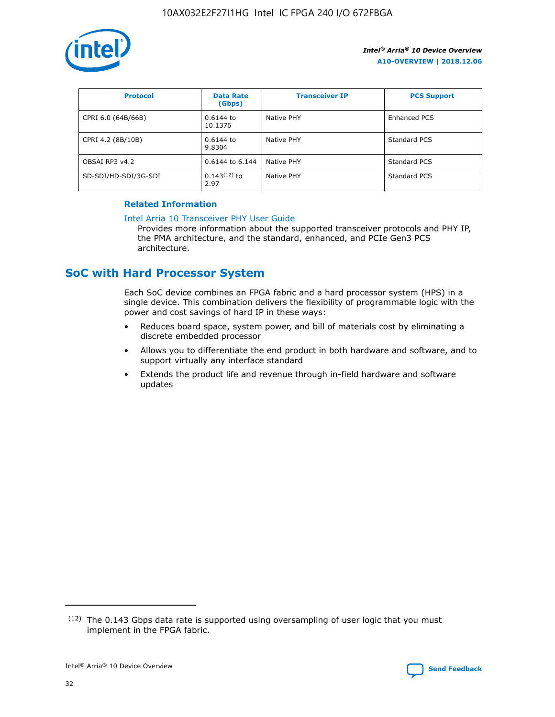

| <b>Protocol</b>      | <b>Data Rate</b><br>(Gbps) | <b>Transceiver IP</b> | <b>PCS Support</b> |
|----------------------|----------------------------|-----------------------|--------------------|
| CPRI 6.0 (64B/66B)   | 0.6144 to<br>10.1376       | Native PHY            | Enhanced PCS       |
| CPRI 4.2 (8B/10B)    | 0.6144 to<br>9.8304        | Native PHY            | Standard PCS       |
| OBSAI RP3 v4.2       | 0.6144 to 6.144            | Native PHY            | Standard PCS       |
| SD-SDI/HD-SDI/3G-SDI | $0.143(12)$ to<br>2.97     | Native PHY            | Standard PCS       |

## **Related Information**

#### [Intel Arria 10 Transceiver PHY User Guide](https://www.intel.com/content/www/us/en/programmable/documentation/nik1398707230472.html#nik1398707091164)

Provides more information about the supported transceiver protocols and PHY IP, the PMA architecture, and the standard, enhanced, and PCIe Gen3 PCS architecture.

# **SoC with Hard Processor System**

Each SoC device combines an FPGA fabric and a hard processor system (HPS) in a single device. This combination delivers the flexibility of programmable logic with the power and cost savings of hard IP in these ways:

- Reduces board space, system power, and bill of materials cost by eliminating a discrete embedded processor
- Allows you to differentiate the end product in both hardware and software, and to support virtually any interface standard
- Extends the product life and revenue through in-field hardware and software updates

 $(12)$  The 0.143 Gbps data rate is supported using oversampling of user logic that you must implement in the FPGA fabric.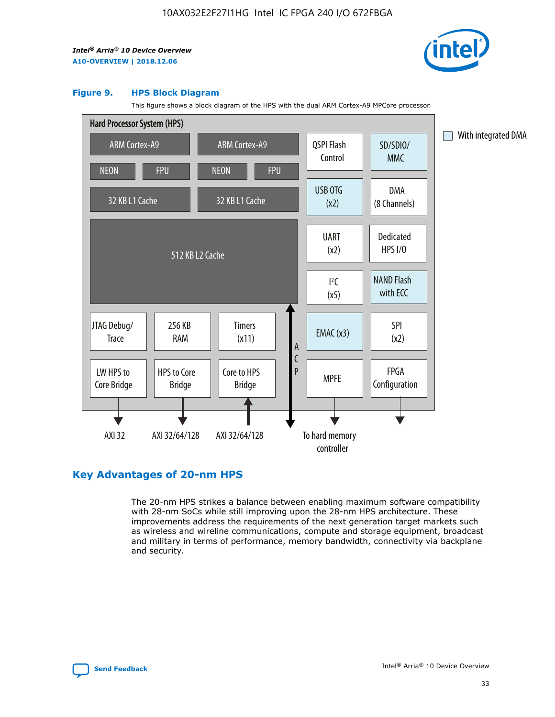

#### **Figure 9. HPS Block Diagram**

This figure shows a block diagram of the HPS with the dual ARM Cortex-A9 MPCore processor.



# **Key Advantages of 20-nm HPS**

The 20-nm HPS strikes a balance between enabling maximum software compatibility with 28-nm SoCs while still improving upon the 28-nm HPS architecture. These improvements address the requirements of the next generation target markets such as wireless and wireline communications, compute and storage equipment, broadcast and military in terms of performance, memory bandwidth, connectivity via backplane and security.

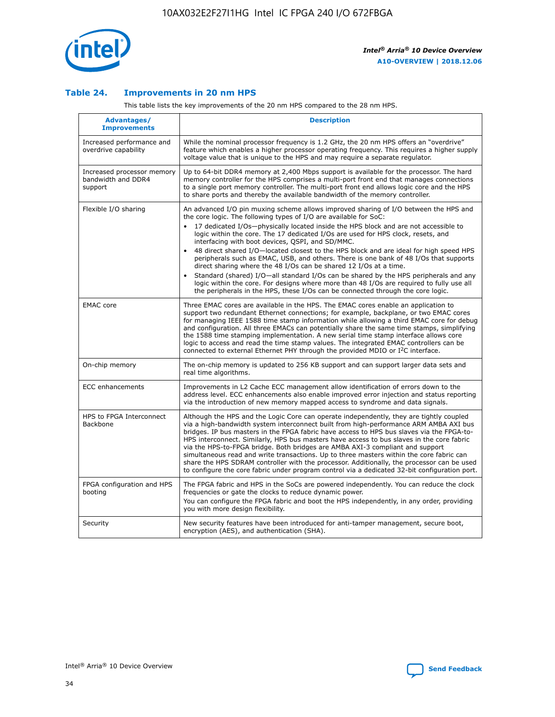

## **Table 24. Improvements in 20 nm HPS**

This table lists the key improvements of the 20 nm HPS compared to the 28 nm HPS.

| Advantages/<br><b>Improvements</b>                          | <b>Description</b>                                                                                                                                                                                                                                                                                                                                                                                                                                                                                                                                                                                                                                                                                                                                                                                                                                                                                                                                |
|-------------------------------------------------------------|---------------------------------------------------------------------------------------------------------------------------------------------------------------------------------------------------------------------------------------------------------------------------------------------------------------------------------------------------------------------------------------------------------------------------------------------------------------------------------------------------------------------------------------------------------------------------------------------------------------------------------------------------------------------------------------------------------------------------------------------------------------------------------------------------------------------------------------------------------------------------------------------------------------------------------------------------|
| Increased performance and<br>overdrive capability           | While the nominal processor frequency is 1.2 GHz, the 20 nm HPS offers an "overdrive"<br>feature which enables a higher processor operating frequency. This requires a higher supply<br>voltage value that is unique to the HPS and may require a separate regulator.                                                                                                                                                                                                                                                                                                                                                                                                                                                                                                                                                                                                                                                                             |
| Increased processor memory<br>bandwidth and DDR4<br>support | Up to 64-bit DDR4 memory at 2,400 Mbps support is available for the processor. The hard<br>memory controller for the HPS comprises a multi-port front end that manages connections<br>to a single port memory controller. The multi-port front end allows logic core and the HPS<br>to share ports and thereby the available bandwidth of the memory controller.                                                                                                                                                                                                                                                                                                                                                                                                                                                                                                                                                                                  |
| Flexible I/O sharing                                        | An advanced I/O pin muxing scheme allows improved sharing of I/O between the HPS and<br>the core logic. The following types of I/O are available for SoC:<br>$\bullet$<br>17 dedicated I/Os-physically located inside the HPS block and are not accessible to<br>logic within the core. The 17 dedicated I/Os are used for HPS clock, resets, and<br>interfacing with boot devices, QSPI, and SD/MMC.<br>48 direct shared I/O-located closest to the HPS block and are ideal for high speed HPS<br>$\bullet$<br>peripherals such as EMAC, USB, and others. There is one bank of 48 I/Os that supports<br>direct sharing where the 48 I/Os can be shared 12 I/Os at a time.<br>Standard (shared) I/O-all standard I/Os can be shared by the HPS peripherals and any<br>logic within the core. For designs where more than 48 I/Os are required to fully use all<br>the peripherals in the HPS, these I/Os can be connected through the core logic. |
| <b>EMAC</b> core                                            | Three EMAC cores are available in the HPS. The EMAC cores enable an application to<br>support two redundant Ethernet connections; for example, backplane, or two EMAC cores<br>for managing IEEE 1588 time stamp information while allowing a third EMAC core for debug<br>and configuration. All three EMACs can potentially share the same time stamps, simplifying<br>the 1588 time stamping implementation. A new serial time stamp interface allows core<br>logic to access and read the time stamp values. The integrated EMAC controllers can be<br>connected to external Ethernet PHY through the provided MDIO or I <sup>2</sup> C interface.                                                                                                                                                                                                                                                                                            |
| On-chip memory                                              | The on-chip memory is updated to 256 KB support and can support larger data sets and<br>real time algorithms.                                                                                                                                                                                                                                                                                                                                                                                                                                                                                                                                                                                                                                                                                                                                                                                                                                     |
| <b>ECC</b> enhancements                                     | Improvements in L2 Cache ECC management allow identification of errors down to the<br>address level. ECC enhancements also enable improved error injection and status reporting<br>via the introduction of new memory mapped access to syndrome and data signals.                                                                                                                                                                                                                                                                                                                                                                                                                                                                                                                                                                                                                                                                                 |
| HPS to FPGA Interconnect<br>Backbone                        | Although the HPS and the Logic Core can operate independently, they are tightly coupled<br>via a high-bandwidth system interconnect built from high-performance ARM AMBA AXI bus<br>bridges. IP bus masters in the FPGA fabric have access to HPS bus slaves via the FPGA-to-<br>HPS interconnect. Similarly, HPS bus masters have access to bus slaves in the core fabric<br>via the HPS-to-FPGA bridge. Both bridges are AMBA AXI-3 compliant and support<br>simultaneous read and write transactions. Up to three masters within the core fabric can<br>share the HPS SDRAM controller with the processor. Additionally, the processor can be used<br>to configure the core fabric under program control via a dedicated 32-bit configuration port.                                                                                                                                                                                            |
| FPGA configuration and HPS<br>booting                       | The FPGA fabric and HPS in the SoCs are powered independently. You can reduce the clock<br>frequencies or gate the clocks to reduce dynamic power.<br>You can configure the FPGA fabric and boot the HPS independently, in any order, providing<br>you with more design flexibility.                                                                                                                                                                                                                                                                                                                                                                                                                                                                                                                                                                                                                                                              |
| Security                                                    | New security features have been introduced for anti-tamper management, secure boot,<br>encryption (AES), and authentication (SHA).                                                                                                                                                                                                                                                                                                                                                                                                                                                                                                                                                                                                                                                                                                                                                                                                                |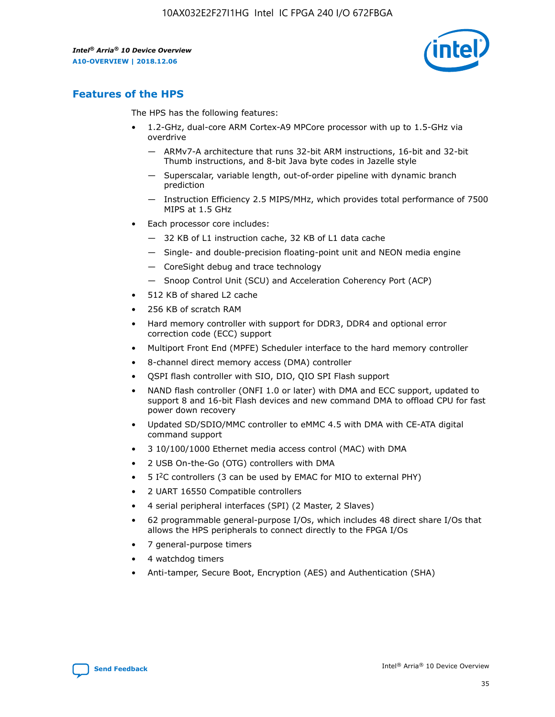

# **Features of the HPS**

The HPS has the following features:

- 1.2-GHz, dual-core ARM Cortex-A9 MPCore processor with up to 1.5-GHz via overdrive
	- ARMv7-A architecture that runs 32-bit ARM instructions, 16-bit and 32-bit Thumb instructions, and 8-bit Java byte codes in Jazelle style
	- Superscalar, variable length, out-of-order pipeline with dynamic branch prediction
	- Instruction Efficiency 2.5 MIPS/MHz, which provides total performance of 7500 MIPS at 1.5 GHz
- Each processor core includes:
	- 32 KB of L1 instruction cache, 32 KB of L1 data cache
	- Single- and double-precision floating-point unit and NEON media engine
	- CoreSight debug and trace technology
	- Snoop Control Unit (SCU) and Acceleration Coherency Port (ACP)
- 512 KB of shared L2 cache
- 256 KB of scratch RAM
- Hard memory controller with support for DDR3, DDR4 and optional error correction code (ECC) support
- Multiport Front End (MPFE) Scheduler interface to the hard memory controller
- 8-channel direct memory access (DMA) controller
- QSPI flash controller with SIO, DIO, QIO SPI Flash support
- NAND flash controller (ONFI 1.0 or later) with DMA and ECC support, updated to support 8 and 16-bit Flash devices and new command DMA to offload CPU for fast power down recovery
- Updated SD/SDIO/MMC controller to eMMC 4.5 with DMA with CE-ATA digital command support
- 3 10/100/1000 Ethernet media access control (MAC) with DMA
- 2 USB On-the-Go (OTG) controllers with DMA
- $\bullet$  5 I<sup>2</sup>C controllers (3 can be used by EMAC for MIO to external PHY)
- 2 UART 16550 Compatible controllers
- 4 serial peripheral interfaces (SPI) (2 Master, 2 Slaves)
- 62 programmable general-purpose I/Os, which includes 48 direct share I/Os that allows the HPS peripherals to connect directly to the FPGA I/Os
- 7 general-purpose timers
- 4 watchdog timers
- Anti-tamper, Secure Boot, Encryption (AES) and Authentication (SHA)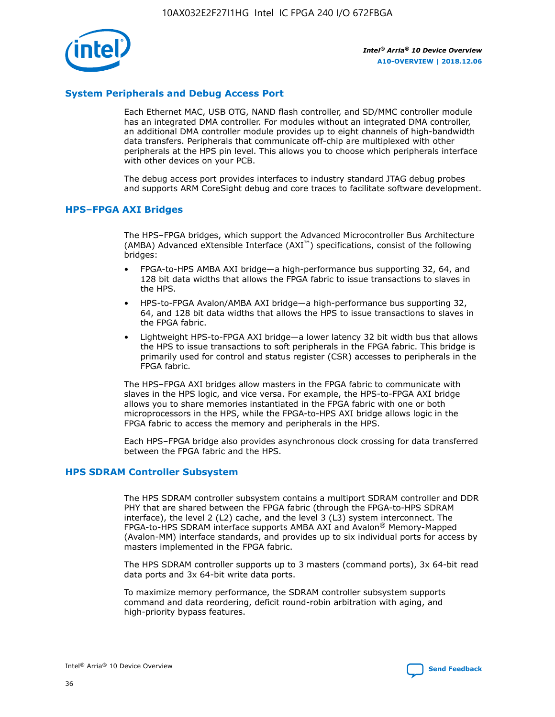

## **System Peripherals and Debug Access Port**

Each Ethernet MAC, USB OTG, NAND flash controller, and SD/MMC controller module has an integrated DMA controller. For modules without an integrated DMA controller, an additional DMA controller module provides up to eight channels of high-bandwidth data transfers. Peripherals that communicate off-chip are multiplexed with other peripherals at the HPS pin level. This allows you to choose which peripherals interface with other devices on your PCB.

The debug access port provides interfaces to industry standard JTAG debug probes and supports ARM CoreSight debug and core traces to facilitate software development.

## **HPS–FPGA AXI Bridges**

The HPS–FPGA bridges, which support the Advanced Microcontroller Bus Architecture (AMBA) Advanced eXtensible Interface (AXI™) specifications, consist of the following bridges:

- FPGA-to-HPS AMBA AXI bridge—a high-performance bus supporting 32, 64, and 128 bit data widths that allows the FPGA fabric to issue transactions to slaves in the HPS.
- HPS-to-FPGA Avalon/AMBA AXI bridge—a high-performance bus supporting 32, 64, and 128 bit data widths that allows the HPS to issue transactions to slaves in the FPGA fabric.
- Lightweight HPS-to-FPGA AXI bridge—a lower latency 32 bit width bus that allows the HPS to issue transactions to soft peripherals in the FPGA fabric. This bridge is primarily used for control and status register (CSR) accesses to peripherals in the FPGA fabric.

The HPS–FPGA AXI bridges allow masters in the FPGA fabric to communicate with slaves in the HPS logic, and vice versa. For example, the HPS-to-FPGA AXI bridge allows you to share memories instantiated in the FPGA fabric with one or both microprocessors in the HPS, while the FPGA-to-HPS AXI bridge allows logic in the FPGA fabric to access the memory and peripherals in the HPS.

Each HPS–FPGA bridge also provides asynchronous clock crossing for data transferred between the FPGA fabric and the HPS.

#### **HPS SDRAM Controller Subsystem**

The HPS SDRAM controller subsystem contains a multiport SDRAM controller and DDR PHY that are shared between the FPGA fabric (through the FPGA-to-HPS SDRAM interface), the level 2 (L2) cache, and the level 3 (L3) system interconnect. The FPGA-to-HPS SDRAM interface supports AMBA AXI and Avalon® Memory-Mapped (Avalon-MM) interface standards, and provides up to six individual ports for access by masters implemented in the FPGA fabric.

The HPS SDRAM controller supports up to 3 masters (command ports), 3x 64-bit read data ports and 3x 64-bit write data ports.

To maximize memory performance, the SDRAM controller subsystem supports command and data reordering, deficit round-robin arbitration with aging, and high-priority bypass features.

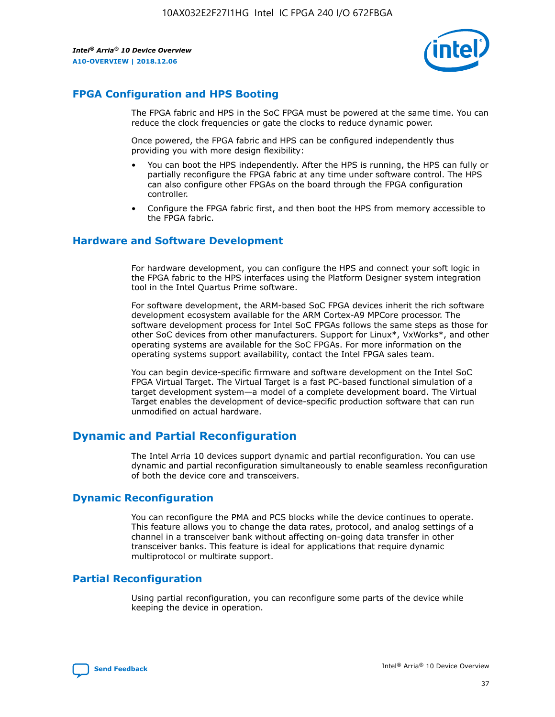

# **FPGA Configuration and HPS Booting**

The FPGA fabric and HPS in the SoC FPGA must be powered at the same time. You can reduce the clock frequencies or gate the clocks to reduce dynamic power.

Once powered, the FPGA fabric and HPS can be configured independently thus providing you with more design flexibility:

- You can boot the HPS independently. After the HPS is running, the HPS can fully or partially reconfigure the FPGA fabric at any time under software control. The HPS can also configure other FPGAs on the board through the FPGA configuration controller.
- Configure the FPGA fabric first, and then boot the HPS from memory accessible to the FPGA fabric.

## **Hardware and Software Development**

For hardware development, you can configure the HPS and connect your soft logic in the FPGA fabric to the HPS interfaces using the Platform Designer system integration tool in the Intel Quartus Prime software.

For software development, the ARM-based SoC FPGA devices inherit the rich software development ecosystem available for the ARM Cortex-A9 MPCore processor. The software development process for Intel SoC FPGAs follows the same steps as those for other SoC devices from other manufacturers. Support for Linux\*, VxWorks\*, and other operating systems are available for the SoC FPGAs. For more information on the operating systems support availability, contact the Intel FPGA sales team.

You can begin device-specific firmware and software development on the Intel SoC FPGA Virtual Target. The Virtual Target is a fast PC-based functional simulation of a target development system—a model of a complete development board. The Virtual Target enables the development of device-specific production software that can run unmodified on actual hardware.

# **Dynamic and Partial Reconfiguration**

The Intel Arria 10 devices support dynamic and partial reconfiguration. You can use dynamic and partial reconfiguration simultaneously to enable seamless reconfiguration of both the device core and transceivers.

# **Dynamic Reconfiguration**

You can reconfigure the PMA and PCS blocks while the device continues to operate. This feature allows you to change the data rates, protocol, and analog settings of a channel in a transceiver bank without affecting on-going data transfer in other transceiver banks. This feature is ideal for applications that require dynamic multiprotocol or multirate support.

# **Partial Reconfiguration**

Using partial reconfiguration, you can reconfigure some parts of the device while keeping the device in operation.

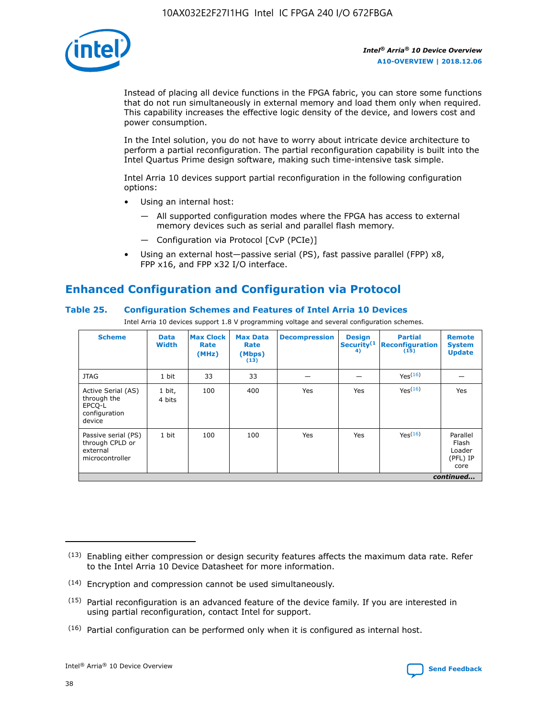

Instead of placing all device functions in the FPGA fabric, you can store some functions that do not run simultaneously in external memory and load them only when required. This capability increases the effective logic density of the device, and lowers cost and power consumption.

In the Intel solution, you do not have to worry about intricate device architecture to perform a partial reconfiguration. The partial reconfiguration capability is built into the Intel Quartus Prime design software, making such time-intensive task simple.

Intel Arria 10 devices support partial reconfiguration in the following configuration options:

- Using an internal host:
	- All supported configuration modes where the FPGA has access to external memory devices such as serial and parallel flash memory.
	- Configuration via Protocol [CvP (PCIe)]
- Using an external host—passive serial (PS), fast passive parallel (FPP) x8, FPP x16, and FPP x32 I/O interface.

# **Enhanced Configuration and Configuration via Protocol**

## **Table 25. Configuration Schemes and Features of Intel Arria 10 Devices**

Intel Arria 10 devices support 1.8 V programming voltage and several configuration schemes.

| <b>Scheme</b>                                                          | <b>Data</b><br><b>Width</b> | <b>Max Clock</b><br>Rate<br>(MHz) | <b>Max Data</b><br>Rate<br>(Mbps)<br>(13) | <b>Decompression</b> | <b>Design</b><br>Security <sup>(1</sup><br>4) | <b>Partial</b><br>Reconfiguration<br>(15) | <b>Remote</b><br><b>System</b><br><b>Update</b> |
|------------------------------------------------------------------------|-----------------------------|-----------------------------------|-------------------------------------------|----------------------|-----------------------------------------------|-------------------------------------------|-------------------------------------------------|
| <b>JTAG</b>                                                            | 1 bit                       | 33                                | 33                                        |                      |                                               | Yes <sup>(16)</sup>                       |                                                 |
| Active Serial (AS)<br>through the<br>EPCO-L<br>configuration<br>device | 1 bit,<br>4 bits            | 100                               | 400                                       | Yes                  | Yes                                           | $Y_{PS}(16)$                              | Yes                                             |
| Passive serial (PS)<br>through CPLD or<br>external<br>microcontroller  | 1 bit                       | 100                               | 100                                       | Yes                  | Yes                                           | Yes(16)                                   | Parallel<br>Flash<br>Loader<br>(PFL) IP<br>core |
|                                                                        |                             |                                   |                                           |                      |                                               |                                           | continued                                       |

<sup>(13)</sup> Enabling either compression or design security features affects the maximum data rate. Refer to the Intel Arria 10 Device Datasheet for more information.

<sup>(14)</sup> Encryption and compression cannot be used simultaneously.

 $(15)$  Partial reconfiguration is an advanced feature of the device family. If you are interested in using partial reconfiguration, contact Intel for support.

 $(16)$  Partial configuration can be performed only when it is configured as internal host.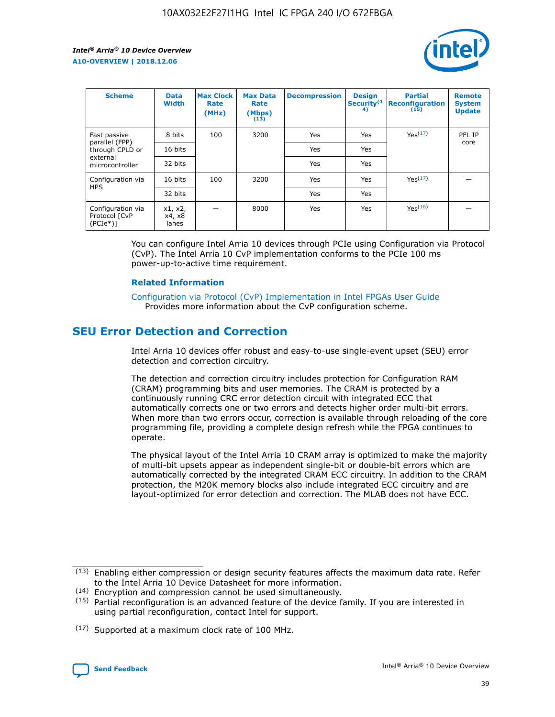

| <b>Scheme</b>                                   | <b>Data</b><br><b>Width</b> | <b>Max Clock</b><br>Rate<br>(MHz) | <b>Max Data</b><br>Rate<br>(Mbps)<br>(13) | <b>Decompression</b> | <b>Design</b><br>Security <sup>(1</sup><br>4) | <b>Partial</b><br><b>Reconfiguration</b><br>(15) | <b>Remote</b><br><b>System</b><br><b>Update</b> |
|-------------------------------------------------|-----------------------------|-----------------------------------|-------------------------------------------|----------------------|-----------------------------------------------|--------------------------------------------------|-------------------------------------------------|
| Fast passive                                    | 8 bits                      | 100                               | 3200                                      | Yes                  | Yes                                           | Yes(17)                                          | PFL IP                                          |
| parallel (FPP)<br>through CPLD or               | 16 bits                     |                                   |                                           | Yes                  | Yes                                           |                                                  | core                                            |
| external<br>microcontroller                     | 32 bits                     |                                   |                                           | Yes                  | Yes                                           |                                                  |                                                 |
| Configuration via                               | 16 bits                     | 100                               | 3200                                      | Yes                  | Yes                                           | Yes <sup>(17)</sup>                              |                                                 |
| <b>HPS</b>                                      | 32 bits                     |                                   |                                           | Yes                  | Yes                                           |                                                  |                                                 |
| Configuration via<br>Protocol [CvP<br>$(PCIe*)$ | x1, x2,<br>x4, x8<br>lanes  |                                   | 8000                                      | Yes                  | Yes                                           | Yes <sup>(16)</sup>                              |                                                 |

You can configure Intel Arria 10 devices through PCIe using Configuration via Protocol (CvP). The Intel Arria 10 CvP implementation conforms to the PCIe 100 ms power-up-to-active time requirement.

#### **Related Information**

[Configuration via Protocol \(CvP\) Implementation in Intel FPGAs User Guide](https://www.intel.com/content/www/us/en/programmable/documentation/dsu1441819344145.html#dsu1442269728522) Provides more information about the CvP configuration scheme.

# **SEU Error Detection and Correction**

Intel Arria 10 devices offer robust and easy-to-use single-event upset (SEU) error detection and correction circuitry.

The detection and correction circuitry includes protection for Configuration RAM (CRAM) programming bits and user memories. The CRAM is protected by a continuously running CRC error detection circuit with integrated ECC that automatically corrects one or two errors and detects higher order multi-bit errors. When more than two errors occur, correction is available through reloading of the core programming file, providing a complete design refresh while the FPGA continues to operate.

The physical layout of the Intel Arria 10 CRAM array is optimized to make the majority of multi-bit upsets appear as independent single-bit or double-bit errors which are automatically corrected by the integrated CRAM ECC circuitry. In addition to the CRAM protection, the M20K memory blocks also include integrated ECC circuitry and are layout-optimized for error detection and correction. The MLAB does not have ECC.

(14) Encryption and compression cannot be used simultaneously.

<sup>(17)</sup> Supported at a maximum clock rate of 100 MHz.



 $(13)$  Enabling either compression or design security features affects the maximum data rate. Refer to the Intel Arria 10 Device Datasheet for more information.

 $(15)$  Partial reconfiguration is an advanced feature of the device family. If you are interested in using partial reconfiguration, contact Intel for support.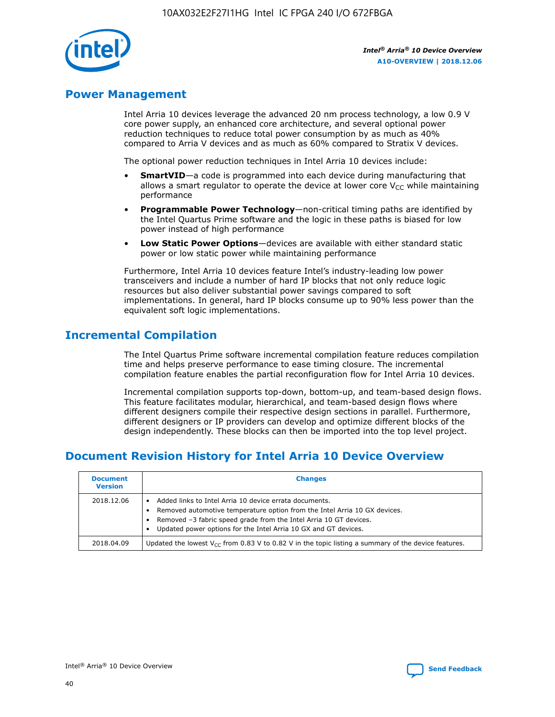

# **Power Management**

Intel Arria 10 devices leverage the advanced 20 nm process technology, a low 0.9 V core power supply, an enhanced core architecture, and several optional power reduction techniques to reduce total power consumption by as much as 40% compared to Arria V devices and as much as 60% compared to Stratix V devices.

The optional power reduction techniques in Intel Arria 10 devices include:

- **SmartVID**—a code is programmed into each device during manufacturing that allows a smart regulator to operate the device at lower core  $V_{CC}$  while maintaining performance
- **Programmable Power Technology**—non-critical timing paths are identified by the Intel Quartus Prime software and the logic in these paths is biased for low power instead of high performance
- **Low Static Power Options**—devices are available with either standard static power or low static power while maintaining performance

Furthermore, Intel Arria 10 devices feature Intel's industry-leading low power transceivers and include a number of hard IP blocks that not only reduce logic resources but also deliver substantial power savings compared to soft implementations. In general, hard IP blocks consume up to 90% less power than the equivalent soft logic implementations.

# **Incremental Compilation**

The Intel Quartus Prime software incremental compilation feature reduces compilation time and helps preserve performance to ease timing closure. The incremental compilation feature enables the partial reconfiguration flow for Intel Arria 10 devices.

Incremental compilation supports top-down, bottom-up, and team-based design flows. This feature facilitates modular, hierarchical, and team-based design flows where different designers compile their respective design sections in parallel. Furthermore, different designers or IP providers can develop and optimize different blocks of the design independently. These blocks can then be imported into the top level project.

# **Document Revision History for Intel Arria 10 Device Overview**

| <b>Document</b><br><b>Version</b> | <b>Changes</b>                                                                                                                                                                                                                                                              |
|-----------------------------------|-----------------------------------------------------------------------------------------------------------------------------------------------------------------------------------------------------------------------------------------------------------------------------|
| 2018.12.06                        | Added links to Intel Arria 10 device errata documents.<br>Removed automotive temperature option from the Intel Arria 10 GX devices.<br>Removed -3 fabric speed grade from the Intel Arria 10 GT devices.<br>Updated power options for the Intel Arria 10 GX and GT devices. |
| 2018.04.09                        | Updated the lowest $V_{CC}$ from 0.83 V to 0.82 V in the topic listing a summary of the device features.                                                                                                                                                                    |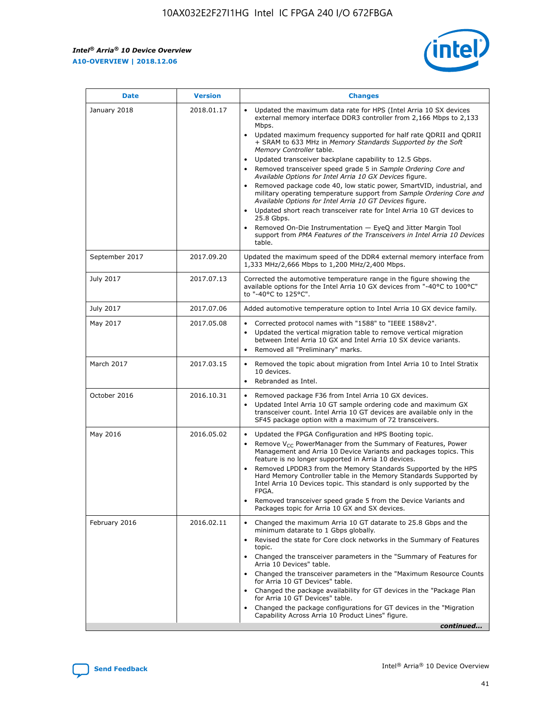F

 $\mathsf{r}$ 



| January 2018<br>Updated the maximum data rate for HPS (Intel Arria 10 SX devices<br>2018.01.17<br>external memory interface DDR3 controller from 2,166 Mbps to 2,133<br>Mbps.<br>$\bullet$<br>+ SRAM to 633 MHz in Memory Standards Supported by the Soft<br>Memory Controller table.<br>Updated transceiver backplane capability to 12.5 Gbps.<br>$\bullet$<br>Removed transceiver speed grade 5 in Sample Ordering Core and<br>Available Options for Intel Arria 10 GX Devices figure.<br>Available Options for Intel Arria 10 GT Devices figure.<br>Updated short reach transceiver rate for Intel Arria 10 GT devices to<br>$\bullet$<br>25.8 Gbps.<br>Removed On-Die Instrumentation - EyeQ and Jitter Margin Tool<br>table.<br>2017.09.20<br>September 2017<br>1,333 MHz/2,666 Mbps to 1,200 MHz/2,400 Mbps.<br>July 2017<br>2017.07.13<br>Corrected the automotive temperature range in the figure showing the<br>available options for the Intel Arria 10 GX devices from "-40°C to 100°C"<br>to "-40°C to 125°C".<br>July 2017<br>2017.07.06<br>Added automotive temperature option to Intel Arria 10 GX device family.<br>2017.05.08<br>Corrected protocol names with "1588" to "IEEE 1588v2".<br>May 2017<br>$\bullet$<br>Updated the vertical migration table to remove vertical migration<br>$\bullet$<br>between Intel Arria 10 GX and Intel Arria 10 SX device variants.<br>Removed all "Preliminary" marks.<br>2017.03.15<br>March 2017<br>Removed the topic about migration from Intel Arria 10 to Intel Stratix<br>10 devices.<br>Rebranded as Intel.<br>$\bullet$<br>October 2016<br>2016.10.31<br>Removed package F36 from Intel Arria 10 GX devices.<br>$\bullet$<br>Updated Intel Arria 10 GT sample ordering code and maximum GX<br>$\bullet$<br>transceiver count. Intel Arria 10 GT devices are available only in the<br>SF45 package option with a maximum of 72 transceivers.<br>May 2016<br>2016.05.02<br>Updated the FPGA Configuration and HPS Booting topic.<br>Remove $V_{CC}$ PowerManager from the Summary of Features, Power<br>Management and Arria 10 Device Variants and packages topics. This<br>feature is no longer supported in Arria 10 devices.<br>Removed LPDDR3 from the Memory Standards Supported by the HPS<br>Hard Memory Controller table in the Memory Standards Supported by<br>Intel Arria 10 Devices topic. This standard is only supported by the<br>FPGA.<br>Removed transceiver speed grade 5 from the Device Variants and<br>Packages topic for Arria 10 GX and SX devices.<br>Changed the maximum Arria 10 GT datarate to 25.8 Gbps and the<br>February 2016<br>2016.02.11<br>minimum datarate to 1 Gbps globally.<br>Revised the state for Core clock networks in the Summary of Features<br>$\bullet$<br>topic.<br>• Changed the transceiver parameters in the "Summary of Features for<br>Arria 10 Devices" table.<br>for Arria 10 GT Devices" table.<br>• Changed the package availability for GT devices in the "Package Plan<br>for Arria 10 GT Devices" table.<br>Changed the package configurations for GT devices in the "Migration"<br>Capability Across Arria 10 Product Lines" figure. | <b>Date</b> | <b>Version</b> | <b>Changes</b>                                                                                                                                                                                                                                                                               |
|----------------------------------------------------------------------------------------------------------------------------------------------------------------------------------------------------------------------------------------------------------------------------------------------------------------------------------------------------------------------------------------------------------------------------------------------------------------------------------------------------------------------------------------------------------------------------------------------------------------------------------------------------------------------------------------------------------------------------------------------------------------------------------------------------------------------------------------------------------------------------------------------------------------------------------------------------------------------------------------------------------------------------------------------------------------------------------------------------------------------------------------------------------------------------------------------------------------------------------------------------------------------------------------------------------------------------------------------------------------------------------------------------------------------------------------------------------------------------------------------------------------------------------------------------------------------------------------------------------------------------------------------------------------------------------------------------------------------------------------------------------------------------------------------------------------------------------------------------------------------------------------------------------------------------------------------------------------------------------------------------------------------------------------------------------------------------------------------------------------------------------------------------------------------------------------------------------------------------------------------------------------------------------------------------------------------------------------------------------------------------------------------------------------------------------------------------------------------------------------------------------------------------------------------------------------------------------------------------------------------------------------------------------------------------------------------------------------------------------------------------------------------------------------------------------------------------------------------------------------------------------------------------------------------------------------------------------------------------------------------------------------------------------------------------------------------------------------------------------------------------------------------------------------|-------------|----------------|----------------------------------------------------------------------------------------------------------------------------------------------------------------------------------------------------------------------------------------------------------------------------------------------|
|                                                                                                                                                                                                                                                                                                                                                                                                                                                                                                                                                                                                                                                                                                                                                                                                                                                                                                                                                                                                                                                                                                                                                                                                                                                                                                                                                                                                                                                                                                                                                                                                                                                                                                                                                                                                                                                                                                                                                                                                                                                                                                                                                                                                                                                                                                                                                                                                                                                                                                                                                                                                                                                                                                                                                                                                                                                                                                                                                                                                                                                                                                                                                                |             |                | Updated maximum frequency supported for half rate QDRII and QDRII<br>Removed package code 40, low static power, SmartVID, industrial, and<br>military operating temperature support from Sample Ordering Core and<br>support from PMA Features of the Transceivers in Intel Arria 10 Devices |
|                                                                                                                                                                                                                                                                                                                                                                                                                                                                                                                                                                                                                                                                                                                                                                                                                                                                                                                                                                                                                                                                                                                                                                                                                                                                                                                                                                                                                                                                                                                                                                                                                                                                                                                                                                                                                                                                                                                                                                                                                                                                                                                                                                                                                                                                                                                                                                                                                                                                                                                                                                                                                                                                                                                                                                                                                                                                                                                                                                                                                                                                                                                                                                |             |                | Updated the maximum speed of the DDR4 external memory interface from                                                                                                                                                                                                                         |
|                                                                                                                                                                                                                                                                                                                                                                                                                                                                                                                                                                                                                                                                                                                                                                                                                                                                                                                                                                                                                                                                                                                                                                                                                                                                                                                                                                                                                                                                                                                                                                                                                                                                                                                                                                                                                                                                                                                                                                                                                                                                                                                                                                                                                                                                                                                                                                                                                                                                                                                                                                                                                                                                                                                                                                                                                                                                                                                                                                                                                                                                                                                                                                |             |                |                                                                                                                                                                                                                                                                                              |
|                                                                                                                                                                                                                                                                                                                                                                                                                                                                                                                                                                                                                                                                                                                                                                                                                                                                                                                                                                                                                                                                                                                                                                                                                                                                                                                                                                                                                                                                                                                                                                                                                                                                                                                                                                                                                                                                                                                                                                                                                                                                                                                                                                                                                                                                                                                                                                                                                                                                                                                                                                                                                                                                                                                                                                                                                                                                                                                                                                                                                                                                                                                                                                |             |                |                                                                                                                                                                                                                                                                                              |
|                                                                                                                                                                                                                                                                                                                                                                                                                                                                                                                                                                                                                                                                                                                                                                                                                                                                                                                                                                                                                                                                                                                                                                                                                                                                                                                                                                                                                                                                                                                                                                                                                                                                                                                                                                                                                                                                                                                                                                                                                                                                                                                                                                                                                                                                                                                                                                                                                                                                                                                                                                                                                                                                                                                                                                                                                                                                                                                                                                                                                                                                                                                                                                |             |                |                                                                                                                                                                                                                                                                                              |
|                                                                                                                                                                                                                                                                                                                                                                                                                                                                                                                                                                                                                                                                                                                                                                                                                                                                                                                                                                                                                                                                                                                                                                                                                                                                                                                                                                                                                                                                                                                                                                                                                                                                                                                                                                                                                                                                                                                                                                                                                                                                                                                                                                                                                                                                                                                                                                                                                                                                                                                                                                                                                                                                                                                                                                                                                                                                                                                                                                                                                                                                                                                                                                |             |                |                                                                                                                                                                                                                                                                                              |
|                                                                                                                                                                                                                                                                                                                                                                                                                                                                                                                                                                                                                                                                                                                                                                                                                                                                                                                                                                                                                                                                                                                                                                                                                                                                                                                                                                                                                                                                                                                                                                                                                                                                                                                                                                                                                                                                                                                                                                                                                                                                                                                                                                                                                                                                                                                                                                                                                                                                                                                                                                                                                                                                                                                                                                                                                                                                                                                                                                                                                                                                                                                                                                |             |                |                                                                                                                                                                                                                                                                                              |
|                                                                                                                                                                                                                                                                                                                                                                                                                                                                                                                                                                                                                                                                                                                                                                                                                                                                                                                                                                                                                                                                                                                                                                                                                                                                                                                                                                                                                                                                                                                                                                                                                                                                                                                                                                                                                                                                                                                                                                                                                                                                                                                                                                                                                                                                                                                                                                                                                                                                                                                                                                                                                                                                                                                                                                                                                                                                                                                                                                                                                                                                                                                                                                |             |                |                                                                                                                                                                                                                                                                                              |
|                                                                                                                                                                                                                                                                                                                                                                                                                                                                                                                                                                                                                                                                                                                                                                                                                                                                                                                                                                                                                                                                                                                                                                                                                                                                                                                                                                                                                                                                                                                                                                                                                                                                                                                                                                                                                                                                                                                                                                                                                                                                                                                                                                                                                                                                                                                                                                                                                                                                                                                                                                                                                                                                                                                                                                                                                                                                                                                                                                                                                                                                                                                                                                |             |                | Changed the transceiver parameters in the "Maximum Resource Counts"<br>continued                                                                                                                                                                                                             |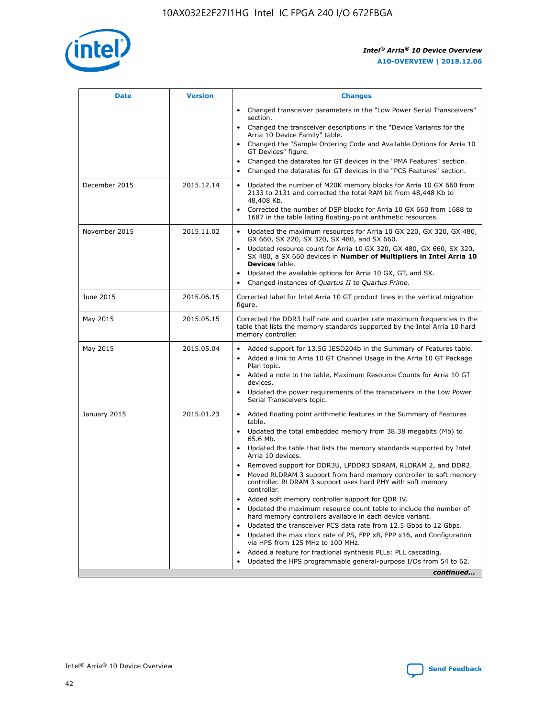

| <b>Date</b>   | <b>Version</b> | <b>Changes</b>                                                                                                                                                                   |
|---------------|----------------|----------------------------------------------------------------------------------------------------------------------------------------------------------------------------------|
|               |                | • Changed transceiver parameters in the "Low Power Serial Transceivers"<br>section.                                                                                              |
|               |                | • Changed the transceiver descriptions in the "Device Variants for the<br>Arria 10 Device Family" table.                                                                         |
|               |                | Changed the "Sample Ordering Code and Available Options for Arria 10<br>GT Devices" figure.                                                                                      |
|               |                | Changed the datarates for GT devices in the "PMA Features" section.                                                                                                              |
|               |                | Changed the datarates for GT devices in the "PCS Features" section.<br>$\bullet$                                                                                                 |
| December 2015 | 2015.12.14     | Updated the number of M20K memory blocks for Arria 10 GX 660 from<br>$\bullet$<br>2133 to 2131 and corrected the total RAM bit from 48,448 Kb to<br>48,408 Kb.                   |
|               |                | Corrected the number of DSP blocks for Arria 10 GX 660 from 1688 to<br>$\bullet$<br>1687 in the table listing floating-point arithmetic resources.                               |
| November 2015 | 2015.11.02     | Updated the maximum resources for Arria 10 GX 220, GX 320, GX 480,<br>$\bullet$<br>GX 660, SX 220, SX 320, SX 480, and SX 660.                                                   |
|               |                | Updated resource count for Arria 10 GX 320, GX 480, GX 660, SX 320,<br>$\bullet$<br>SX 480, a SX 660 devices in Number of Multipliers in Intel Arria 10<br><b>Devices</b> table. |
|               |                | Updated the available options for Arria 10 GX, GT, and SX.<br>$\bullet$                                                                                                          |
|               |                | Changed instances of Quartus II to Quartus Prime.<br>$\bullet$                                                                                                                   |
| June 2015     | 2015.06.15     | Corrected label for Intel Arria 10 GT product lines in the vertical migration<br>figure.                                                                                         |
| May 2015      | 2015.05.15     | Corrected the DDR3 half rate and quarter rate maximum frequencies in the<br>table that lists the memory standards supported by the Intel Arria 10 hard<br>memory controller.     |
| May 2015      | 2015.05.04     | • Added support for 13.5G JESD204b in the Summary of Features table.<br>• Added a link to Arria 10 GT Channel Usage in the Arria 10 GT Package<br>Plan topic.                    |
|               |                | • Added a note to the table, Maximum Resource Counts for Arria 10 GT<br>devices.                                                                                                 |
|               |                | Updated the power requirements of the transceivers in the Low Power<br>Serial Transceivers topic.                                                                                |
| January 2015  | 2015.01.23     | • Added floating point arithmetic features in the Summary of Features<br>table.                                                                                                  |
|               |                | • Updated the total embedded memory from 38.38 megabits (Mb) to<br>65.6 Mb.                                                                                                      |
|               |                | • Updated the table that lists the memory standards supported by Intel<br>Arria 10 devices.                                                                                      |
|               |                | Removed support for DDR3U, LPDDR3 SDRAM, RLDRAM 2, and DDR2.<br>Moved RLDRAM 3 support from hard memory controller to soft memory                                                |
|               |                | controller. RLDRAM 3 support uses hard PHY with soft memory<br>controller.                                                                                                       |
|               |                | Added soft memory controller support for QDR IV.                                                                                                                                 |
|               |                | Updated the maximum resource count table to include the number of<br>hard memory controllers available in each device variant.                                                   |
|               |                | Updated the transceiver PCS data rate from 12.5 Gbps to 12 Gbps.<br>$\bullet$                                                                                                    |
|               |                | Updated the max clock rate of PS, FPP x8, FPP x16, and Configuration<br>via HPS from 125 MHz to 100 MHz.                                                                         |
|               |                | Added a feature for fractional synthesis PLLs: PLL cascading.                                                                                                                    |
|               |                | Updated the HPS programmable general-purpose I/Os from 54 to 62.<br>$\bullet$                                                                                                    |
|               |                | continued                                                                                                                                                                        |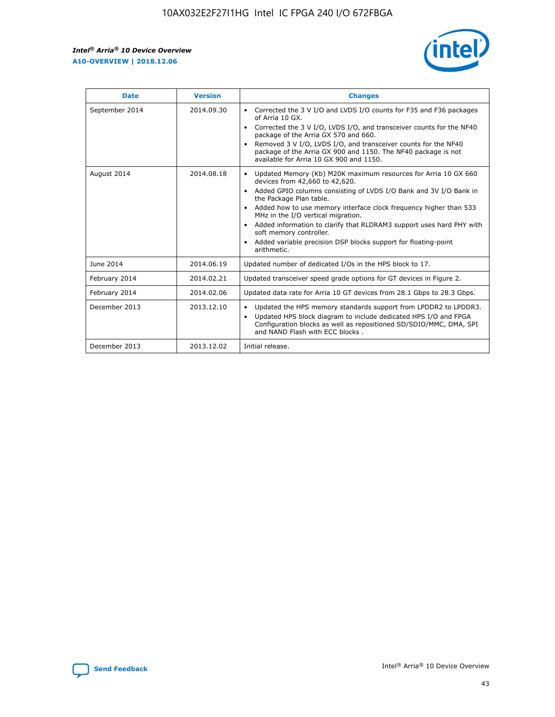r



| <b>Date</b>    | <b>Version</b> | <b>Changes</b>                                                                                                                                                                                                                                                                                                                                                                                                                                                                                                                         |
|----------------|----------------|----------------------------------------------------------------------------------------------------------------------------------------------------------------------------------------------------------------------------------------------------------------------------------------------------------------------------------------------------------------------------------------------------------------------------------------------------------------------------------------------------------------------------------------|
| September 2014 | 2014.09.30     | Corrected the 3 V I/O and LVDS I/O counts for F35 and F36 packages<br>of Arria 10 GX.<br>Corrected the 3 V I/O, LVDS I/O, and transceiver counts for the NF40<br>$\bullet$<br>package of the Arria GX 570 and 660.<br>Removed 3 V I/O, LVDS I/O, and transceiver counts for the NF40<br>package of the Arria GX 900 and 1150. The NF40 package is not<br>available for Arria 10 GX 900 and 1150.                                                                                                                                       |
| August 2014    | 2014.08.18     | Updated Memory (Kb) M20K maximum resources for Arria 10 GX 660<br>devices from 42,660 to 42,620.<br>Added GPIO columns consisting of LVDS I/O Bank and 3V I/O Bank in<br>$\bullet$<br>the Package Plan table.<br>Added how to use memory interface clock frequency higher than 533<br>$\bullet$<br>MHz in the I/O vertical migration.<br>Added information to clarify that RLDRAM3 support uses hard PHY with<br>$\bullet$<br>soft memory controller.<br>Added variable precision DSP blocks support for floating-point<br>arithmetic. |
| June 2014      | 2014.06.19     | Updated number of dedicated I/Os in the HPS block to 17.                                                                                                                                                                                                                                                                                                                                                                                                                                                                               |
| February 2014  | 2014.02.21     | Updated transceiver speed grade options for GT devices in Figure 2.                                                                                                                                                                                                                                                                                                                                                                                                                                                                    |
| February 2014  | 2014.02.06     | Updated data rate for Arria 10 GT devices from 28.1 Gbps to 28.3 Gbps.                                                                                                                                                                                                                                                                                                                                                                                                                                                                 |
| December 2013  | 2013.12.10     | Updated the HPS memory standards support from LPDDR2 to LPDDR3.<br>Updated HPS block diagram to include dedicated HPS I/O and FPGA<br>$\bullet$<br>Configuration blocks as well as repositioned SD/SDIO/MMC, DMA, SPI<br>and NAND Flash with ECC blocks.                                                                                                                                                                                                                                                                               |
| December 2013  | 2013.12.02     | Initial release.                                                                                                                                                                                                                                                                                                                                                                                                                                                                                                                       |